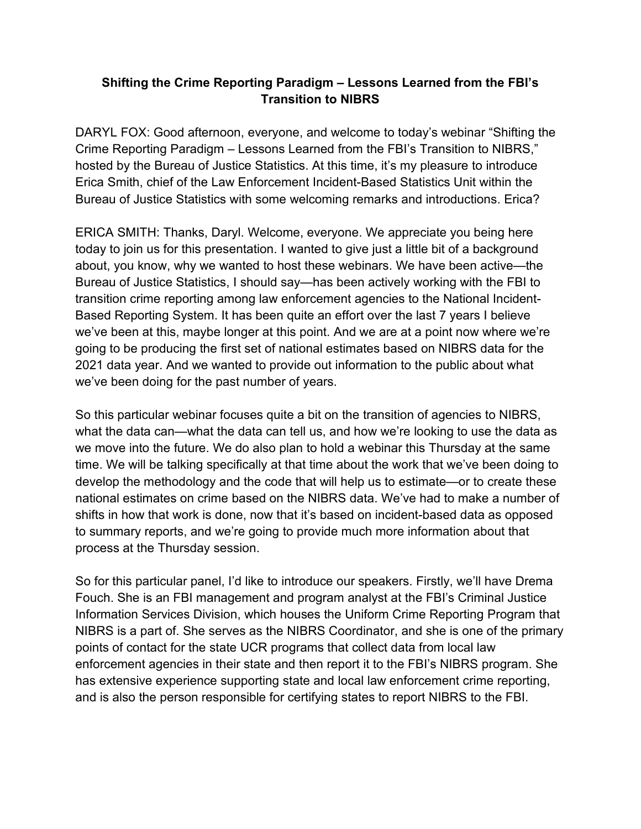## **Shifting the Crime Reporting Paradigm – Lessons Learned from the FBI's Transition to NIBRS**

 Crime Reporting Paradigm – Lessons Learned from the FBI's Transition to NIBRS," Erica Smith, chief of the Law Enforcement Incident-Based Statistics Unit within the Bureau of Justice Statistics with some welcoming remarks and introductions. Erica? DARYL FOX: Good afternoon, everyone, and welcome to today's webinar "Shifting the hosted by the Bureau of Justice Statistics. At this time, it's my pleasure to introduce

 Based Reporting System. It has been quite an effort over the last 7 years I believe we've been at this, maybe longer at this point. And we are at a point now where we're going to be producing the first set of national estimates based on NIBRS data for the ERICA SMITH: Thanks, Daryl. Welcome, everyone. We appreciate you being here today to join us for this presentation. I wanted to give just a little bit of a background about, you know, why we wanted to host these webinars. We have been active—the Bureau of Justice Statistics, I should say—has been actively working with the FBI to transition crime reporting among law enforcement agencies to the National Incident-2021 data year. And we wanted to provide out information to the public about what we've been doing for the past number of years.

 So this particular webinar focuses quite a bit on the transition of agencies to NIBRS, what the data can—what the data can tell us, and how we're looking to use the data as we move into the future. We do also plan to hold a webinar this Thursday at the same national estimates on crime based on the NIBRS data. We've had to make a number of time. We will be talking specifically at that time about the work that we've been doing to develop the methodology and the code that will help us to estimate—or to create these shifts in how that work is done, now that it's based on incident-based data as opposed to summary reports, and we're going to provide much more information about that process at the Thursday session.

 NIBRS is a part of. She serves as the NIBRS Coordinator, and she is one of the primary points of contact for the state UCR programs that collect data from local law So for this particular panel, I'd like to introduce our speakers. Firstly, we'll have Drema Fouch. She is an FBI management and program analyst at the FBI's Criminal Justice Information Services Division, which houses the Uniform Crime Reporting Program that enforcement agencies in their state and then report it to the FBI's NIBRS program. She has extensive experience supporting state and local law enforcement crime reporting, and is also the person responsible for certifying states to report NIBRS to the FBI.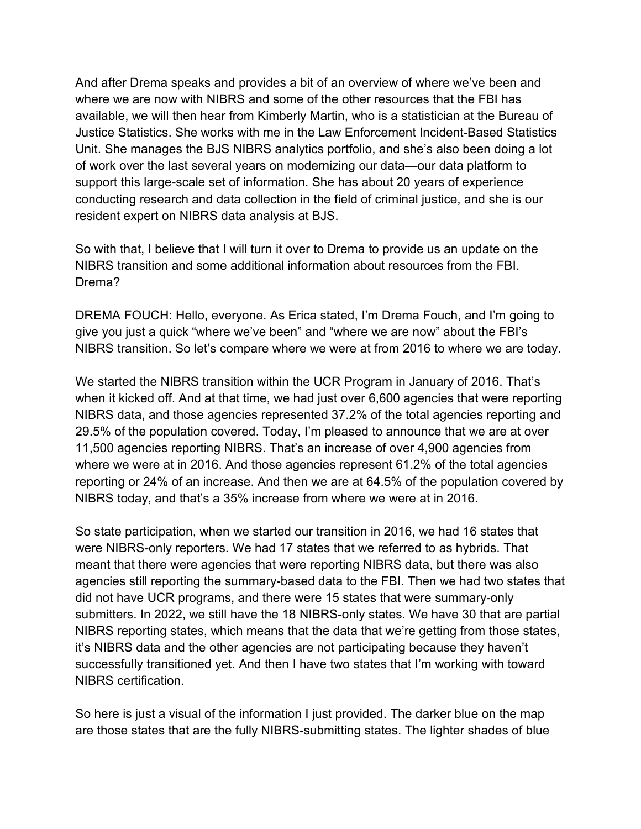available, we will then hear from Kimberly Martin, who is a statistician at the Bureau of conducting research and data collection in the field of criminal justice, and she is our resident expert on NIBRS data analysis at BJS. And after Drema speaks and provides a bit of an overview of where we've been and where we are now with NIBRS and some of the other resources that the FBI has Justice Statistics. She works with me in the Law Enforcement Incident-Based Statistics Unit. She manages the BJS NIBRS analytics portfolio, and she's also been doing a lot of work over the last several years on modernizing our data—our data platform to support this large-scale set of information. She has about 20 years of experience

resident expert on NIBRS data analysis at BJS.<br>So with that, I believe that I will turn it over to Drema to provide us an update on the NIBRS transition and some additional information about resources from the FBI. Drema?

 give you just a quick "where we've been" and "where we are now" about the FBI's NIBRS transition. So let's compare where we were at from 2016 to where we are today. DREMA FOUCH: Hello, everyone. As Erica stated, I'm Drema Fouch, and I'm going to

NIBRS today, and that's a 35% increase from where we were at in 2016. We started the NIBRS transition within the UCR Program in January of 2016. That's when it kicked off. And at that time, we had just over 6,600 agencies that were reporting NIBRS data, and those agencies represented 37.2% of the total agencies reporting and 29.5% of the population covered. Today, I'm pleased to announce that we are at over 11,500 agencies reporting NIBRS. That's an increase of over 4,900 agencies from where we were at in 2016. And those agencies represent 61.2% of the total agencies reporting or 24% of an increase. And then we are at 64.5% of the population covered by

NIBRS certification. So state participation, when we started our transition in 2016, we had 16 states that were NIBRS-only reporters. We had 17 states that we referred to as hybrids. That meant that there were agencies that were reporting NIBRS data, but there was also agencies still reporting the summary-based data to the FBI. Then we had two states that did not have UCR programs, and there were 15 states that were summary-only submitters. In 2022, we still have the 18 NIBRS-only states. We have 30 that are partial NIBRS reporting states, which means that the data that we're getting from those states, it's NIBRS data and the other agencies are not participating because they haven't successfully transitioned yet. And then I have two states that I'm working with toward

So here is just a visual of the information I just provided. The darker blue on the map are those states that are the fully NIBRS-submitting states. The lighter shades of blue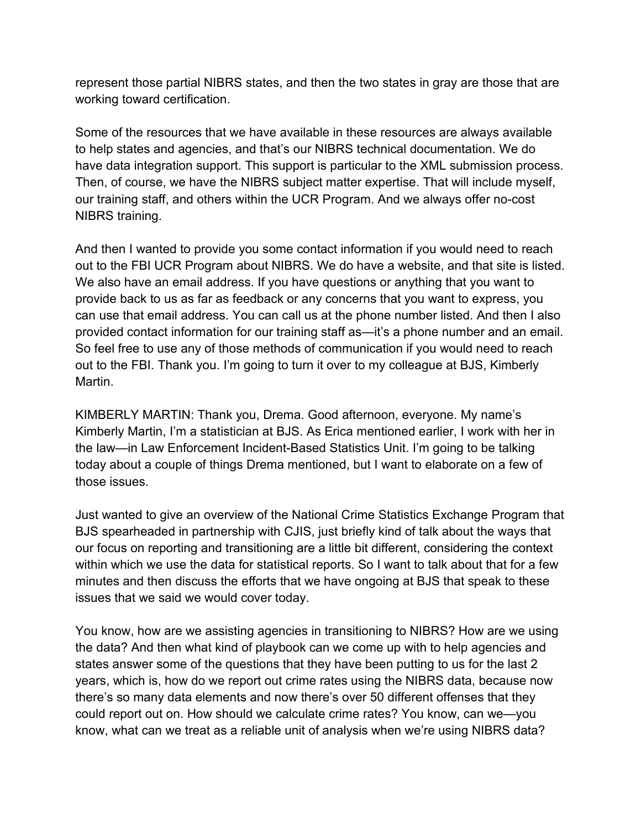working toward certification. represent those partial NIBRS states, and then the two states in gray are those that are

 to help states and agencies, and that's our NIBRS technical documentation. We do Then, of course, we have the NIBRS subject matter expertise. That will include myself, NIBRS training. Some of the resources that we have available in these resources are always available have data integration support. This support is particular to the XML submission process. our training staff, and others within the UCR Program. And we always offer no-cost

 provide back to us as far as feedback or any concerns that you want to express, you out to the FBI. Thank you. I'm going to turn it over to my colleague at BJS, Kimberly And then I wanted to provide you some contact information if you would need to reach out to the FBI UCR Program about NIBRS. We do have a website, and that site is listed. We also have an email address. If you have questions or anything that you want to can use that email address. You can call us at the phone number listed. And then I also provided contact information for our training staff as—it's a phone number and an email. So feel free to use any of those methods of communication if you would need to reach Martin.

 KIMBERLY MARTIN: Thank you, Drema. Good afternoon, everyone. My name's those issues Kimberly Martin, I'm a statistician at BJS. As Erica mentioned earlier, I work with her in the law—in Law Enforcement Incident-Based Statistics Unit. I'm going to be talking today about a couple of things Drema mentioned, but I want to elaborate on a few of

 within which we use the data for statistical reports. So I want to talk about that for a few minutes and then discuss the efforts that we have ongoing at BJS that speak to these issues that we said we would cover today. Just wanted to give an overview of the National Crime Statistics Exchange Program that BJS spearheaded in partnership with CJIS, just briefly kind of talk about the ways that our focus on reporting and transitioning are a little bit different, considering the context

 the data? And then what kind of playbook can we come up with to help agencies and years, which is, how do we report out crime rates using the NIBRS data, because now there's so many data elements and now there's over 50 different offenses that they You know, how are we assisting agencies in transitioning to NIBRS? How are we using states answer some of the questions that they have been putting to us for the last 2 could report out on. How should we calculate crime rates? You know, can we—you know, what can we treat as a reliable unit of analysis when we're using NIBRS data?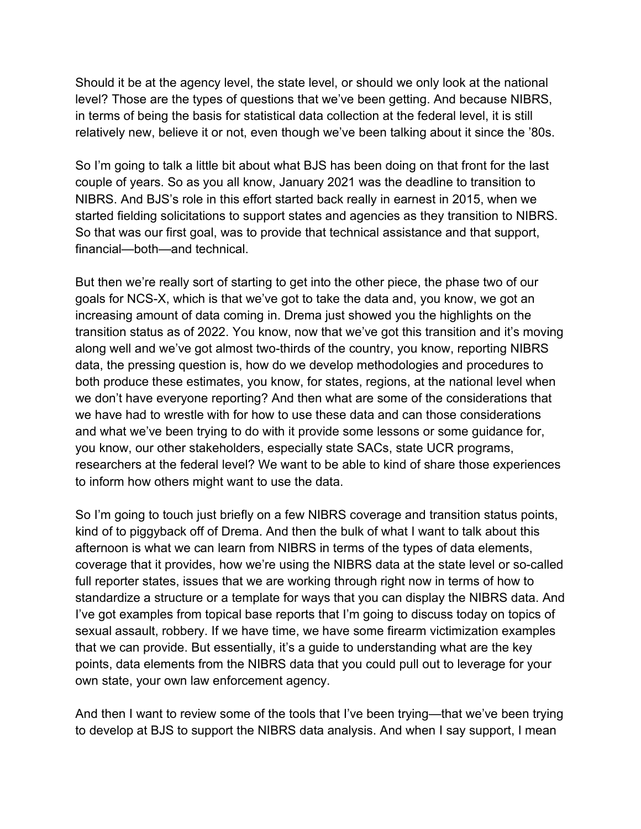level? Those are the types of questions that we've been getting. And because NIBRS, relatively new, believe it or not, even though we've been talking about it since the '80s. Should it be at the agency level, the state level, or should we only look at the national in terms of being the basis for statistical data collection at the federal level, it is still

 So I'm going to talk a little bit about what BJS has been doing on that front for the last NIBRS. And BJS's role in this effort started back really in earnest in 2015, when we started fielding solicitations to support states and agencies as they transition to NIBRS. financial—both—and technical. couple of years. So as you all know, January 2021 was the deadline to transition to So that was our first goal, was to provide that technical assistance and that support,

 along well and we've got almost two-thirds of the country, you know, reporting NIBRS you know, our other stakeholders, especially state SACs, state UCR programs, to inform how others might want to use the data. But then we're really sort of starting to get into the other piece, the phase two of our goals for NCS-X, which is that we've got to take the data and, you know, we got an increasing amount of data coming in. Drema just showed you the highlights on the transition status as of 2022. You know, now that we've got this transition and it's moving data, the pressing question is, how do we develop methodologies and procedures to both produce these estimates, you know, for states, regions, at the national level when we don't have everyone reporting? And then what are some of the considerations that we have had to wrestle with for how to use these data and can those considerations and what we've been trying to do with it provide some lessons or some guidance for, researchers at the federal level? We want to be able to kind of share those experiences

 kind of to piggyback off of Drema. And then the bulk of what I want to talk about this standardize a structure or a template for ways that you can display the NIBRS data. And that we can provide. But essentially, it's a guide to understanding what are the key own state, your own law enforcement agency. So I'm going to touch just briefly on a few NIBRS coverage and transition status points, afternoon is what we can learn from NIBRS in terms of the types of data elements, coverage that it provides, how we're using the NIBRS data at the state level or so-called full reporter states, issues that we are working through right now in terms of how to I've got examples from topical base reports that I'm going to discuss today on topics of sexual assault, robbery. If we have time, we have some firearm victimization examples points, data elements from the NIBRS data that you could pull out to leverage for your

 to develop at BJS to support the NIBRS data analysis. And when I say support, I mean And then I want to review some of the tools that I've been trying—that we've been trying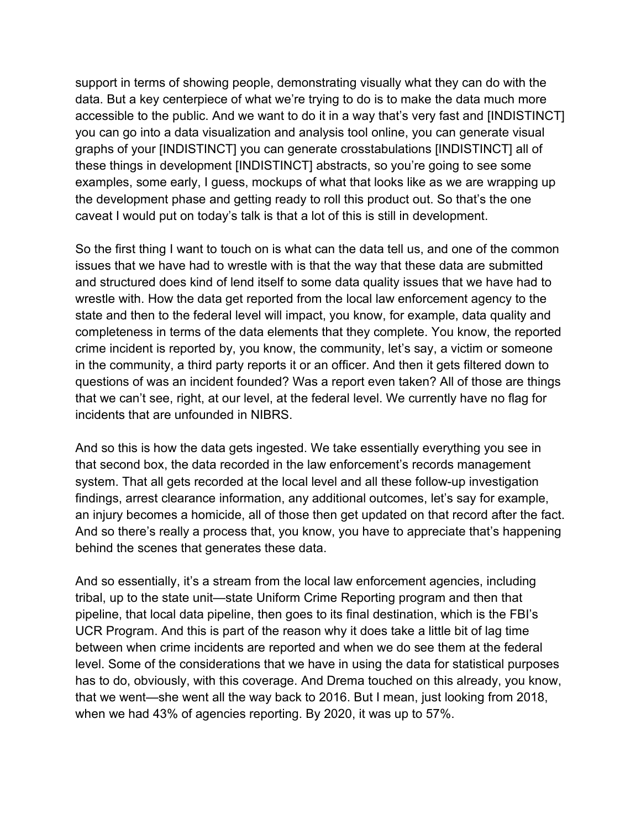these things in development [INDISTINCT] abstracts, so you're going to see some examples, some early, I guess, mockups of what that looks like as we are wrapping up caveat I would put on today's talk is that a lot of this is still in development. support in terms of showing people, demonstrating visually what they can do with the data. But a key centerpiece of what we're trying to do is to make the data much more accessible to the public. And we want to do it in a way that's very fast and [INDISTINCT] you can go into a data visualization and analysis tool online, you can generate visual graphs of your [INDISTINCT] you can generate crosstabulations [INDISTINCT] all of the development phase and getting ready to roll this product out. So that's the one

 crime incident is reported by, you know, the community, let's say, a victim or someone in the community, a third party reports it or an officer. And then it gets filtered down to questions of was an incident founded? Was a report even taken? All of those are things incidents that are unfounded in NIBRS. So the first thing I want to touch on is what can the data tell us, and one of the common issues that we have had to wrestle with is that the way that these data are submitted and structured does kind of lend itself to some data quality issues that we have had to wrestle with. How the data get reported from the local law enforcement agency to the state and then to the federal level will impact, you know, for example, data quality and completeness in terms of the data elements that they complete. You know, the reported that we can't see, right, at our level, at the federal level. We currently have no flag for

incidents that are unfounded in NIBRS.<br>And so this is how the data gets ingested. We take essentially everything you see in findings, arrest clearance information, any additional outcomes, let's say for example, behind the scenes that generates these data. that second box, the data recorded in the law enforcement's records management system. That all gets recorded at the local level and all these follow-up investigation an injury becomes a homicide, all of those then get updated on that record after the fact. And so there's really a process that, you know, you have to appreciate that's happening

 that we went—she went all the way back to 2016. But I mean, just looking from 2018, when we had 43% of agencies reporting. By 2020, it was up to 57%. And so essentially, it's a stream from the local law enforcement agencies, including tribal, up to the state unit—state Uniform Crime Reporting program and then that pipeline, that local data pipeline, then goes to its final destination, which is the FBI's UCR Program. And this is part of the reason why it does take a little bit of lag time between when crime incidents are reported and when we do see them at the federal level. Some of the considerations that we have in using the data for statistical purposes has to do, obviously, with this coverage. And Drema touched on this already, you know,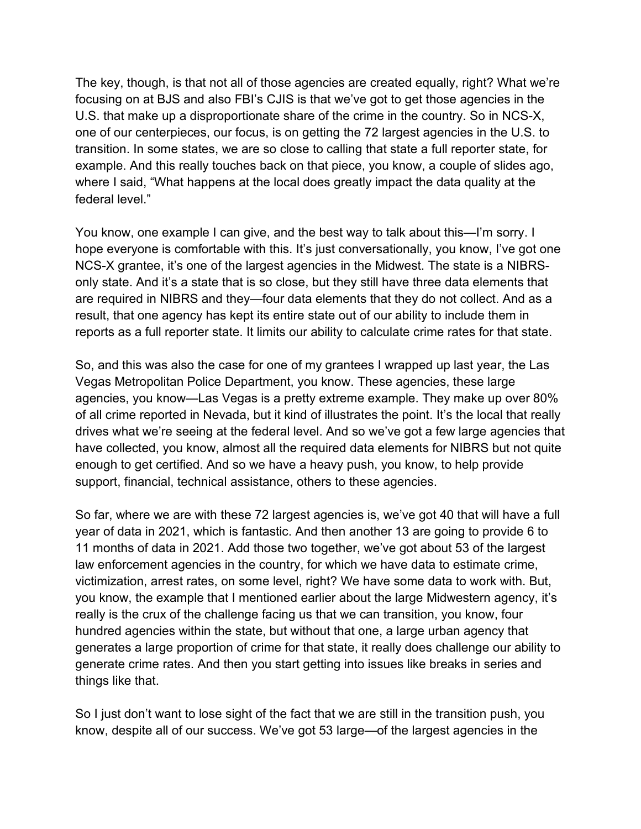The key, though, is that not all of those agencies are created equally, right? What we're transition. In some states, we are so close to calling that state a full reporter state, for example. And this really touches back on that piece, you know, a couple of slides ago, federal level." focusing on at BJS and also FBI's CJIS is that we've got to get those agencies in the U.S. that make up a disproportionate share of the crime in the country. So in NCS-X, one of our centerpieces, our focus, is on getting the 72 largest agencies in the U.S. to where I said, "What happens at the local does greatly impact the data quality at the

 NCS-X grantee, it's one of the largest agencies in the Midwest. The state is a NIBRSreports as a full reporter state. It limits our ability to calculate crime rates for that state. You know, one example I can give, and the best way to talk about this—I'm sorry. I hope everyone is comfortable with this. It's just conversationally, you know, I've got one only state. And it's a state that is so close, but they still have three data elements that are required in NIBRS and they—four data elements that they do not collect. And as a result, that one agency has kept its entire state out of our ability to include them in

reports as a full reporter state. It limits our ability to calculate crime rates for that state.<br>So, and this was also the case for one of my grantees I wrapped up last year, the Las agencies, you know—Las Vegas is a pretty extreme example. They make up over 80% support, financial, technical assistance, others to these agencies. Vegas Metropolitan Police Department, you know. These agencies, these large of all crime reported in Nevada, but it kind of illustrates the point. It's the local that really drives what we're seeing at the federal level. And so we've got a few large agencies that have collected, you know, almost all the required data elements for NIBRS but not quite enough to get certified. And so we have a heavy push, you know, to help provide

 law enforcement agencies in the country, for which we have data to estimate crime, hundred agencies within the state, but without that one, a large urban agency that things like that. So far, where we are with these 72 largest agencies is, we've got 40 that will have a full year of data in 2021, which is fantastic. And then another 13 are going to provide 6 to 11 months of data in 2021. Add those two together, we've got about 53 of the largest victimization, arrest rates, on some level, right? We have some data to work with. But, you know, the example that I mentioned earlier about the large Midwestern agency, it's really is the crux of the challenge facing us that we can transition, you know, four generates a large proportion of crime for that state, it really does challenge our ability to generate crime rates. And then you start getting into issues like breaks in series and

 know, despite all of our success. We've got 53 large—of the largest agencies in the So I just don't want to lose sight of the fact that we are still in the transition push, you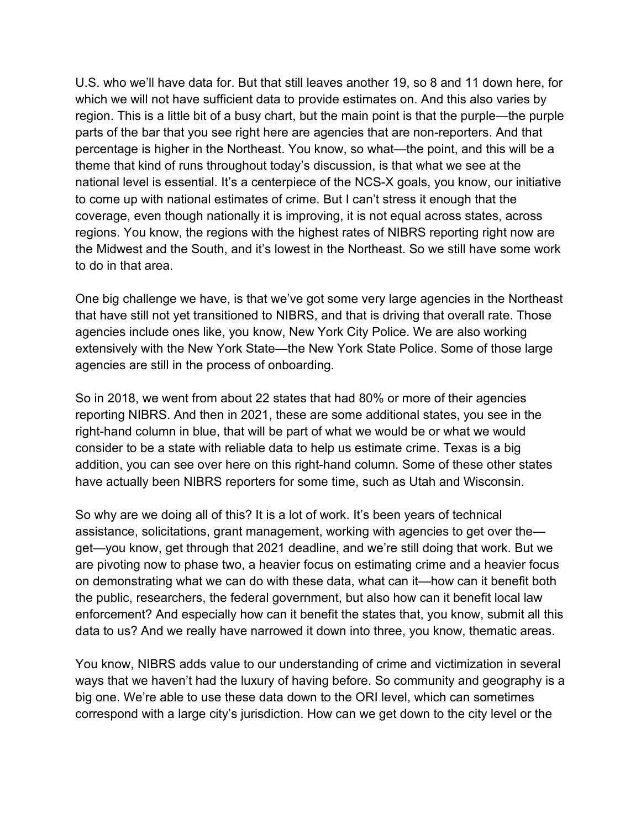U.S. who we'll have data for. But that still leaves another 19, so 8 and 11 down here, for parts of the bar that you see right here are agencies that are non-reporters. And that theme that kind of runs throughout today's discussion, is that what we see at the to do in that area. which we will not have sufficient data to provide estimates on. And this also varies by region. This is a little bit of a busy chart, but the main point is that the purple—the purple percentage is higher in the Northeast. You know, so what—the point, and this will be a national level is essential. It's a centerpiece of the NCS-X goals, you know, our initiative to come up with national estimates of crime. But I can't stress it enough that the coverage, even though nationally it is improving, it is not equal across states, across regions. You know, the regions with the highest rates of NIBRS reporting right now are the Midwest and the South, and it's lowest in the Northeast. So we still have some work

 that have still not yet transitioned to NIBRS, and that is driving that overall rate. Those agencies are still in the process of onboarding. One big challenge we have, is that we've got some very large agencies in the Northeast agencies include ones like, you know, New York City Police. We are also working extensively with the New York State—the New York State Police. Some of those large

agencies are still in the process of onboarding.<br>So in 2018, we went from about 22 states that had 80% or more of their agencies reporting NIBRS. And then in 2021, these are some additional states, you see in the right-hand column in blue, that will be part of what we would be or what we would consider to be a state with reliable data to help us estimate crime. Texas is a big addition, you can see over here on this right-hand column. Some of these other states

have actually been NIBRS reporters for some time, such as Utah and Wisconsin.<br>So why are we doing all of this? It is a lot of work. It's been years of technical are pivoting now to phase two, a heavier focus on estimating crime and a heavier focus data to us? And we really have narrowed it down into three, you know, thematic areas. assistance, solicitations, grant management, working with agencies to get over the get—you know, get through that 2021 deadline, and we're still doing that work. But we on demonstrating what we can do with these data, what can it—how can it benefit both the public, researchers, the federal government, but also how can it benefit local law enforcement? And especially how can it benefit the states that, you know, submit all this

You know, NIBRS adds value to our understanding of crime and victimization in several ways that we haven't had the luxury of having before. So community and geography is a big one. We're able to use these data down to the ORI level, which can sometimes correspond with a large city's jurisdiction. How can we get down to the city level or the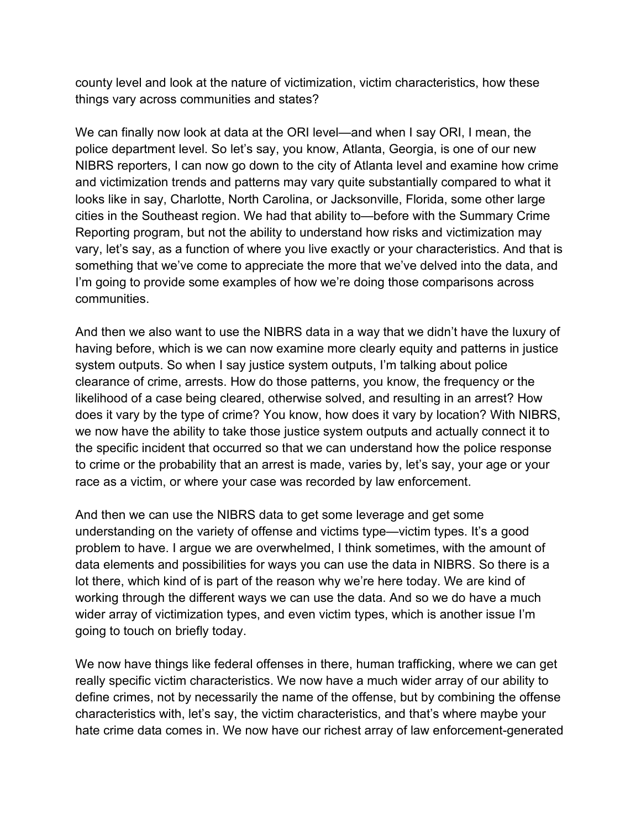things vary across communities and states? county level and look at the nature of victimization, victim characteristics, how these

 police department level. So let's say, you know, Atlanta, Georgia, is one of our new communities. We can finally now look at data at the ORI level—and when I say ORI, I mean, the NIBRS reporters, I can now go down to the city of Atlanta level and examine how crime and victimization trends and patterns may vary quite substantially compared to what it looks like in say, Charlotte, North Carolina, or Jacksonville, Florida, some other large cities in the Southeast region. We had that ability to—before with the Summary Crime Reporting program, but not the ability to understand how risks and victimization may vary, let's say, as a function of where you live exactly or your characteristics. And that is something that we've come to appreciate the more that we've delved into the data, and I'm going to provide some examples of how we're doing those comparisons across

communities.<br>And then we also want to use the NIBRS data in a way that we didn't have the luxury of having before, which is we can now examine more clearly equity and patterns in justice clearance of crime, arrests. How do those patterns, you know, the frequency or the we now have the ability to take those justice system outputs and actually connect it to race as a victim, or where your case was recorded by law enforcement. system outputs. So when I say justice system outputs, I'm talking about police likelihood of a case being cleared, otherwise solved, and resulting in an arrest? How does it vary by the type of crime? You know, how does it vary by location? With NIBRS, the specific incident that occurred so that we can understand how the police response to crime or the probability that an arrest is made, varies by, let's say, your age or your

race as a victim, or where your case was recorded by law enforcement.<br>And then we can use the NIBRS data to get some leverage and get some understanding on the variety of offense and victims type—victim types. It's a good problem to have. I argue we are overwhelmed, I think sometimes, with the amount of going to touch on briefly today. data elements and possibilities for ways you can use the data in NIBRS. So there is a lot there, which kind of is part of the reason why we're here today. We are kind of working through the different ways we can use the data. And so we do have a much wider array of victimization types, and even victim types, which is another issue I'm

 really specific victim characteristics. We now have a much wider array of our ability to We now have things like federal offenses in there, human trafficking, where we can get define crimes, not by necessarily the name of the offense, but by combining the offense characteristics with, let's say, the victim characteristics, and that's where maybe your hate crime data comes in. We now have our richest array of law enforcement-generated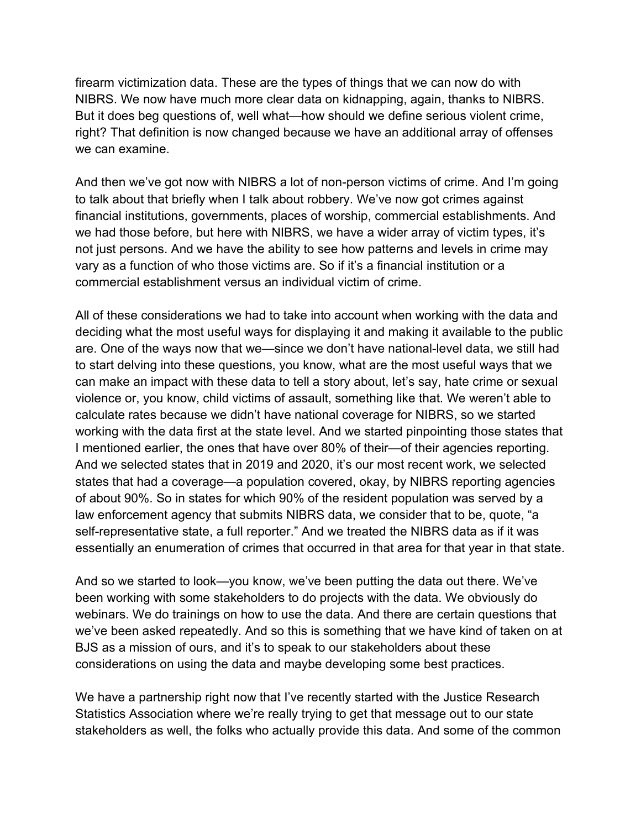we can examine. firearm victimization data. These are the types of things that we can now do with NIBRS. We now have much more clear data on kidnapping, again, thanks to NIBRS. But it does beg questions of, well what—how should we define serious violent crime, right? That definition is now changed because we have an additional array of offenses

 to talk about that briefly when I talk about robbery. We've now got crimes against vary as a function of who those victims are. So if it's a financial institution or a commercial establishment versus an individual victim of crime. And then we've got now with NIBRS a lot of non-person victims of crime. And I'm going financial institutions, governments, places of worship, commercial establishments. And we had those before, but here with NIBRS, we have a wider array of victim types, it's not just persons. And we have the ability to see how patterns and levels in crime may

 And we selected states that in 2019 and 2020, it's our most recent work, we selected states that had a coverage—a population covered, okay, by NIBRS reporting agencies law enforcement agency that submits NIBRS data, we consider that to be, quote, "a essentially an enumeration of crimes that occurred in that area for that year in that state. All of these considerations we had to take into account when working with the data and deciding what the most useful ways for displaying it and making it available to the public are. One of the ways now that we—since we don't have national-level data, we still had to start delving into these questions, you know, what are the most useful ways that we can make an impact with these data to tell a story about, let's say, hate crime or sexual violence or, you know, child victims of assault, something like that. We weren't able to calculate rates because we didn't have national coverage for NIBRS, so we started working with the data first at the state level. And we started pinpointing those states that I mentioned earlier, the ones that have over 80% of their—of their agencies reporting. of about 90%. So in states for which 90% of the resident population was served by a self-representative state, a full reporter." And we treated the NIBRS data as if it was

essentially an enumeration of crimes that occurred in that area for that year in that state.<br>And so we started to look—you know, we've been putting the data out there. We've webinars. We do trainings on how to use the data. And there are certain questions that considerations on using the data and maybe developing some best practices. been working with some stakeholders to do projects with the data. We obviously do we've been asked repeatedly. And so this is something that we have kind of taken on at BJS as a mission of ours, and it's to speak to our stakeholders about these

We have a partnership right now that I've recently started with the Justice Research Statistics Association where we're really trying to get that message out to our state stakeholders as well, the folks who actually provide this data. And some of the common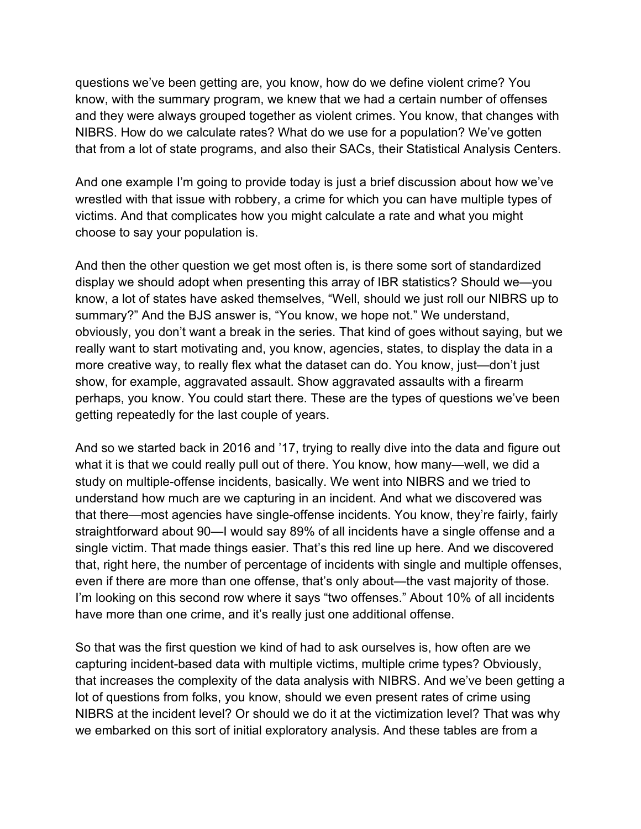know, with the summary program, we knew that we had a certain number of offenses that from a lot of state programs, and also their SACs, their Statistical Analysis Centers. questions we've been getting are, you know, how do we define violent crime? You and they were always grouped together as violent crimes. You know, that changes with NIBRS. How do we calculate rates? What do we use for a population? We've gotten

 wrestled with that issue with robbery, a crime for which you can have multiple types of choose to say your population is. And one example I'm going to provide today is just a brief discussion about how we've victims. And that complicates how you might calculate a rate and what you might

 know, a lot of states have asked themselves, "Well, should we just roll our NIBRS up to obviously, you don't want a break in the series. That kind of goes without saying, but we getting repeatedly for the last couple of years. And then the other question we get most often is, is there some sort of standardized display we should adopt when presenting this array of IBR statistics? Should we—you summary?" And the BJS answer is, "You know, we hope not." We understand, really want to start motivating and, you know, agencies, states, to display the data in a more creative way, to really flex what the dataset can do. You know, just—don't just show, for example, aggravated assault. Show aggravated assaults with a firearm perhaps, you know. You could start there. These are the types of questions we've been

 what it is that we could really pull out of there. You know, how many—well, we did a study on multiple-offense incidents, basically. We went into NIBRS and we tried to straightforward about 90—I would say 89% of all incidents have a single offense and a that, right here, the number of percentage of incidents with single and multiple offenses, I'm looking on this second row where it says "two offenses." About 10% of all incidents have more than one crime, and it's really just one additional offense. And so we started back in 2016 and '17, trying to really dive into the data and figure out understand how much are we capturing in an incident. And what we discovered was that there—most agencies have single-offense incidents. You know, they're fairly, fairly single victim. That made things easier. That's this red line up here. And we discovered even if there are more than one offense, that's only about—the vast majority of those.

 So that was the first question we kind of had to ask ourselves is, how often are we capturing incident-based data with multiple victims, multiple crime types? Obviously, that increases the complexity of the data analysis with NIBRS. And we've been getting a lot of questions from folks, you know, should we even present rates of crime using NIBRS at the incident level? Or should we do it at the victimization level? That was why we embarked on this sort of initial exploratory analysis. And these tables are from a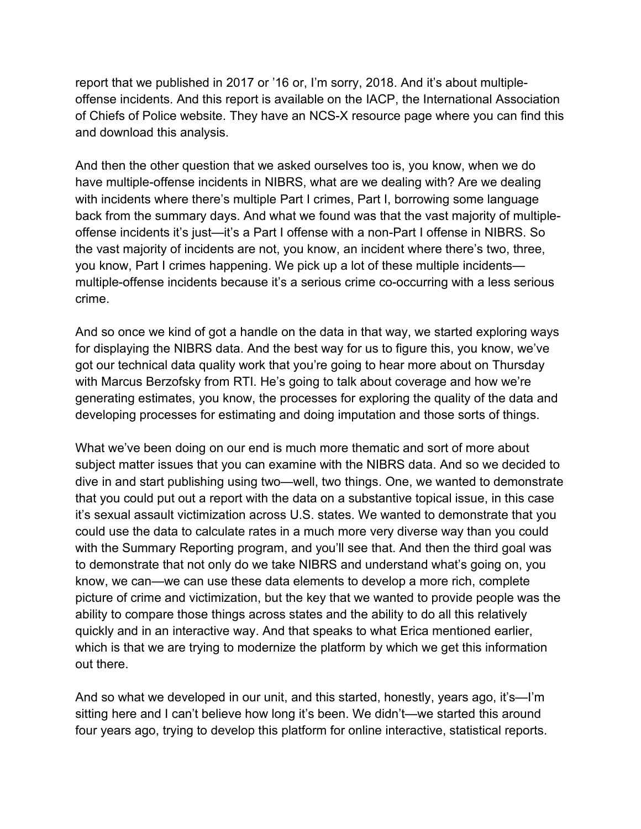report that we published in 2017 or '16 or, I'm sorry, 2018. And it's about multipleand download this analysis. offense incidents. And this report is available on the IACP, the International Association of Chiefs of Police website. They have an NCS-X resource page where you can find this

 with incidents where there's multiple Part I crimes, Part I, borrowing some language back from the summary days. And what we found was that the vast majority of multiple- the vast majority of incidents are not, you know, an incident where there's two, three, you know, Part I crimes happening. We pick up a lot of these multiple incidents crime. And then the other question that we asked ourselves too is, you know, when we do have multiple-offense incidents in NIBRS, what are we dealing with? Are we dealing offense incidents it's just—it's a Part I offense with a non-Part I offense in NIBRS. So multiple-offense incidents because it's a serious crime co-occurring with a less serious

crime.<br>And so once we kind of got a handle on the data in that way, we started exploring ways for displaying the NIBRS data. And the best way for us to figure this, you know, we've developing processes for estimating and doing imputation and those sorts of things. got our technical data quality work that you're going to hear more about on Thursday with Marcus Berzofsky from RTI. He's going to talk about coverage and how we're generating estimates, you know, the processes for exploring the quality of the data and

 with the Summary Reporting program, and you'll see that. And then the third goal was out there. What we've been doing on our end is much more thematic and sort of more about subject matter issues that you can examine with the NIBRS data. And so we decided to dive in and start publishing using two—well, two things. One, we wanted to demonstrate that you could put out a report with the data on a substantive topical issue, in this case it's sexual assault victimization across U.S. states. We wanted to demonstrate that you could use the data to calculate rates in a much more very diverse way than you could to demonstrate that not only do we take NIBRS and understand what's going on, you know, we can—we can use these data elements to develop a more rich, complete picture of crime and victimization, but the key that we wanted to provide people was the ability to compare those things across states and the ability to do all this relatively quickly and in an interactive way. And that speaks to what Erica mentioned earlier, which is that we are trying to modernize the platform by which we get this information

And so what we developed in our unit, and this started, honestly, years ago, it's—I'm sitting here and I can't believe how long it's been. We didn't—we started this around four years ago, trying to develop this platform for online interactive, statistical reports.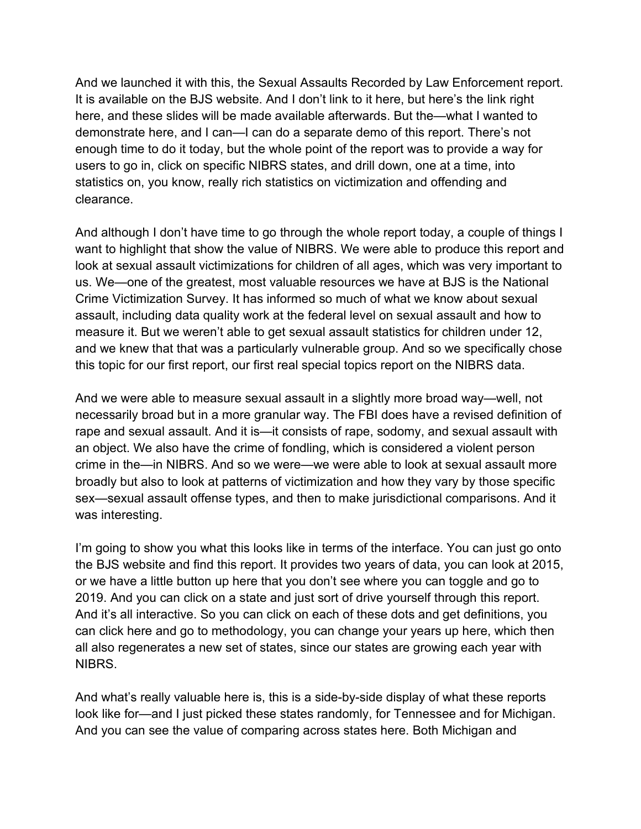And we launched it with this, the Sexual Assaults Recorded by Law Enforcement report. enough time to do it today, but the whole point of the report was to provide a way for clearance. It is available on the BJS website. And I don't link to it here, but here's the link right here, and these slides will be made available afterwards. But the—what I wanted to demonstrate here, and I can—I can do a separate demo of this report. There's not users to go in, click on specific NIBRS states, and drill down, one at a time, into statistics on, you know, really rich statistics on victimization and offending and

clearance.<br>And although I don't have time to go through the whole report today, a couple of things I and we knew that that was a particularly vulnerable group. And so we specifically chose this topic for our first report, our first real special topics report on the NIBRS data. want to highlight that show the value of NIBRS. We were able to produce this report and look at sexual assault victimizations for children of all ages, which was very important to us. We—one of the greatest, most valuable resources we have at BJS is the National Crime Victimization Survey. It has informed so much of what we know about sexual assault, including data quality work at the federal level on sexual assault and how to measure it. But we weren't able to get sexual assault statistics for children under 12,

 an object. We also have the crime of fondling, which is considered a violent person crime in the—in NIBRS. And so we were—we were able to look at sexual assault more broadly but also to look at patterns of victimization and how they vary by those specific was interesting. And we were able to measure sexual assault in a slightly more broad way—well, not necessarily broad but in a more granular way. The FBI does have a revised definition of rape and sexual assault. And it is—it consists of rape, sodomy, and sexual assault with sex—sexual assault offense types, and then to make jurisdictional comparisons. And it

 And it's all interactive. So you can click on each of these dots and get definitions, you NIBRS. I'm going to show you what this looks like in terms of the interface. You can just go onto the BJS website and find this report. It provides two years of data, you can look at 2015, or we have a little button up here that you don't see where you can toggle and go to 2019. And you can click on a state and just sort of drive yourself through this report. can click here and go to methodology, you can change your years up here, which then all also regenerates a new set of states, since our states are growing each year with

And what's really valuable here is, this is a side-by-side display of what these reports look like for—and I just picked these states randomly, for Tennessee and for Michigan. And you can see the value of comparing across states here. Both Michigan and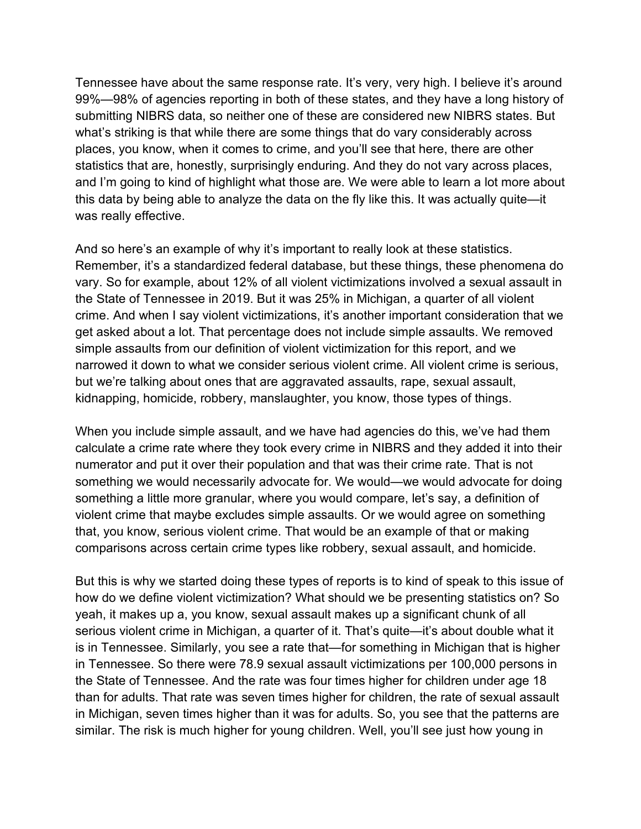99%—98% of agencies reporting in both of these states, and they have a long history of what's striking is that while there are some things that do vary considerably across statistics that are, honestly, surprisingly enduring. And they do not vary across places, was really effective. Tennessee have about the same response rate. It's very, very high. I believe it's around submitting NIBRS data, so neither one of these are considered new NIBRS states. But places, you know, when it comes to crime, and you'll see that here, there are other and I'm going to kind of highlight what those are. We were able to learn a lot more about this data by being able to analyze the data on the fly like this. It was actually quite—it

 Remember, it's a standardized federal database, but these things, these phenomena do the State of Tennessee in 2019. But it was 25% in Michigan, a quarter of all violent crime. And when I say violent victimizations, it's another important consideration that we kidnapping, homicide, robbery, manslaughter, you know, those types of things. And so here's an example of why it's important to really look at these statistics. vary. So for example, about 12% of all violent victimizations involved a sexual assault in get asked about a lot. That percentage does not include simple assaults. We removed simple assaults from our definition of violent victimization for this report, and we narrowed it down to what we consider serious violent crime. All violent crime is serious, but we're talking about ones that are aggravated assaults, rape, sexual assault,

 calculate a crime rate where they took every crime in NIBRS and they added it into their comparisons across certain crime types like robbery, sexual assault, and homicide. When you include simple assault, and we have had agencies do this, we've had them numerator and put it over their population and that was their crime rate. That is not something we would necessarily advocate for. We would—we would advocate for doing something a little more granular, where you would compare, let's say, a definition of violent crime that maybe excludes simple assaults. Or we would agree on something that, you know, serious violent crime. That would be an example of that or making

 yeah, it makes up a, you know, sexual assault makes up a significant chunk of all serious violent crime in Michigan, a quarter of it. That's quite—it's about double what it But this is why we started doing these types of reports is to kind of speak to this issue of how do we define violent victimization? What should we be presenting statistics on? So is in Tennessee. Similarly, you see a rate that—for something in Michigan that is higher in Tennessee. So there were 78.9 sexual assault victimizations per 100,000 persons in the State of Tennessee. And the rate was four times higher for children under age 18 than for adults. That rate was seven times higher for children, the rate of sexual assault in Michigan, seven times higher than it was for adults. So, you see that the patterns are similar. The risk is much higher for young children. Well, you'll see just how young in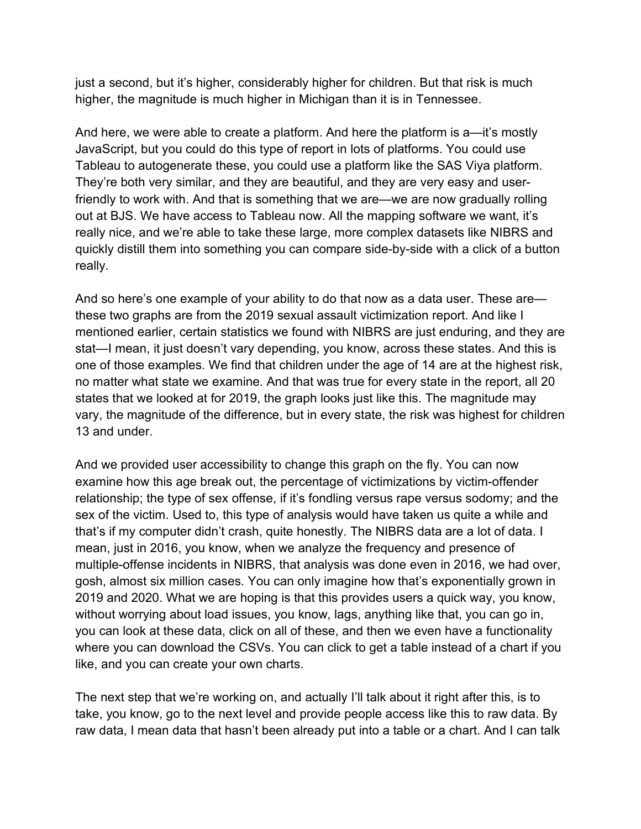just a second, but it's higher, considerably higher for children. But that risk is much higher, the magnitude is much higher in Michigan than it is in Tennessee.

 JavaScript, but you could do this type of report in lots of platforms. You could use They're both very similar, and they are beautiful, and they are very easy and userreally. And here, we were able to create a platform. And here the platform is a—it's mostly Tableau to autogenerate these, you could use a platform like the SAS Viya platform. friendly to work with. And that is something that we are—we are now gradually rolling out at BJS. We have access to Tableau now. All the mapping software we want, it's really nice, and we're able to take these large, more complex datasets like NIBRS and quickly distill them into something you can compare side-by-side with a click of a button

really.<br>And so here's one example of your ability to do that now as a data user. These are— mentioned earlier, certain statistics we found with NIBRS are just enduring, and they are stat—I mean, it just doesn't vary depending, you know, across these states. And this is 13 and under. these two graphs are from the 2019 sexual assault victimization report. And like I one of those examples. We find that children under the age of 14 are at the highest risk, no matter what state we examine. And that was true for every state in the report, all 20 states that we looked at for 2019, the graph looks just like this. The magnitude may vary, the magnitude of the difference, but in every state, the risk was highest for children

 examine how this age break out, the percentage of victimizations by victim-offender that's if my computer didn't crash, quite honestly. The NIBRS data are a lot of data. I like, and you can create your own charts. And we provided user accessibility to change this graph on the fly. You can now relationship; the type of sex offense, if it's fondling versus rape versus sodomy; and the sex of the victim. Used to, this type of analysis would have taken us quite a while and mean, just in 2016, you know, when we analyze the frequency and presence of multiple-offense incidents in NIBRS, that analysis was done even in 2016, we had over, gosh, almost six million cases. You can only imagine how that's exponentially grown in 2019 and 2020. What we are hoping is that this provides users a quick way, you know, without worrying about load issues, you know, lags, anything like that, you can go in, you can look at these data, click on all of these, and then we even have a functionality where you can download the CSVs. You can click to get a table instead of a chart if you

 raw data, I mean data that hasn't been already put into a table or a chart. And I can talk The next step that we're working on, and actually I'll talk about it right after this, is to take, you know, go to the next level and provide people access like this to raw data. By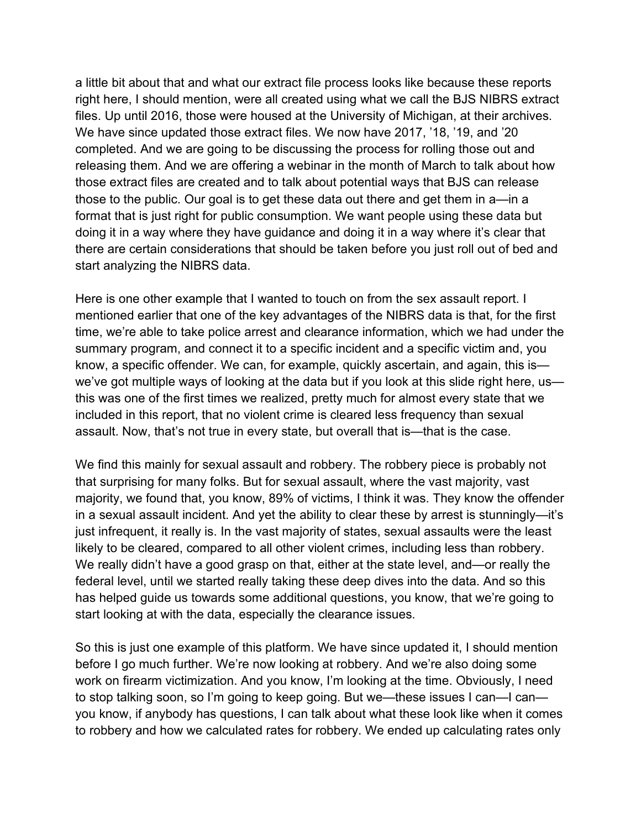a little bit about that and what our extract file process looks like because these reports right here, I should mention, were all created using what we call the BJS NIBRS extract We have since updated those extract files. We now have 2017, '18, '19, and '20 start analyzing the NIBRS data. files. Up until 2016, those were housed at the University of Michigan, at their archives. completed. And we are going to be discussing the process for rolling those out and releasing them. And we are offering a webinar in the month of March to talk about how those extract files are created and to talk about potential ways that BJS can release those to the public. Our goal is to get these data out there and get them in a—in a format that is just right for public consumption. We want people using these data but doing it in a way where they have guidance and doing it in a way where it's clear that there are certain considerations that should be taken before you just roll out of bed and

 time, we're able to take police arrest and clearance information, which we had under the Here is one other example that I wanted to touch on from the sex assault report. I mentioned earlier that one of the key advantages of the NIBRS data is that, for the first summary program, and connect it to a specific incident and a specific victim and, you know, a specific offender. We can, for example, quickly ascertain, and again, this is we've got multiple ways of looking at the data but if you look at this slide right here, us this was one of the first times we realized, pretty much for almost every state that we included in this report, that no violent crime is cleared less frequency than sexual assault. Now, that's not true in every state, but overall that is—that is the case.

 We find this mainly for sexual assault and robbery. The robbery piece is probably not majority, we found that, you know, 89% of victims, I think it was. They know the offender start looking at with the data, especially the clearance issues. that surprising for many folks. But for sexual assault, where the vast majority, vast in a sexual assault incident. And yet the ability to clear these by arrest is stunningly—it's just infrequent, it really is. In the vast majority of states, sexual assaults were the least likely to be cleared, compared to all other violent crimes, including less than robbery. We really didn't have a good grasp on that, either at the state level, and—or really the federal level, until we started really taking these deep dives into the data. And so this has helped guide us towards some additional questions, you know, that we're going to

start looking at with the data, especially the clearance issues.<br>So this is just one example of this platform. We have since updated it, I should mention you know, if anybody has questions, I can talk about what these look like when it comes to robbery and how we calculated rates for robbery. We ended up calculating rates only before I go much further. We're now looking at robbery. And we're also doing some work on firearm victimization. And you know, I'm looking at the time. Obviously, I need to stop talking soon, so I'm going to keep going. But we—these issues I can—I can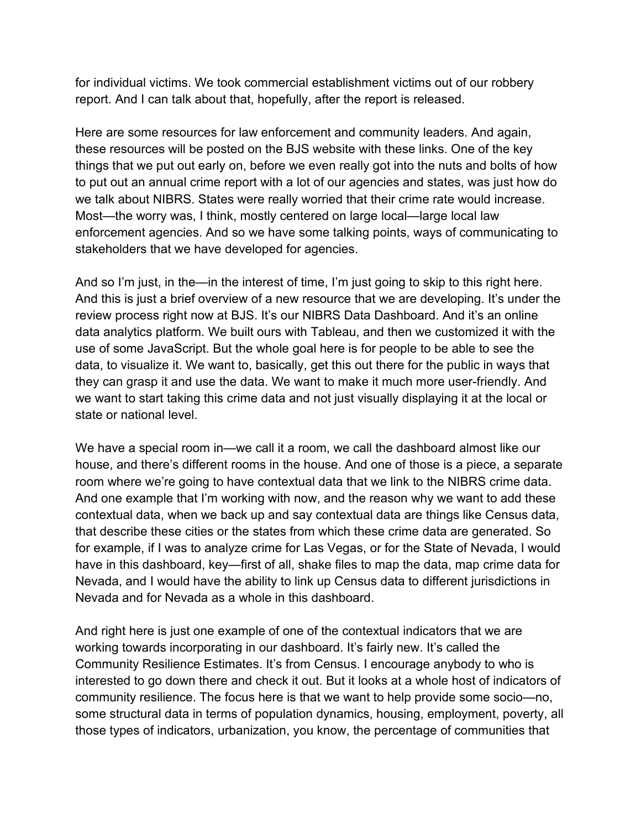report. And I can talk about that, hopefully, after the report is released. for individual victims. We took commercial establishment victims out of our robbery

 Most—the worry was, I think, mostly centered on large local—large local law stakeholders that we have developed for agencies. Here are some resources for law enforcement and community leaders. And again, these resources will be posted on the BJS website with these links. One of the key things that we put out early on, before we even really got into the nuts and bolts of how to put out an annual crime report with a lot of our agencies and states, was just how do we talk about NIBRS. States were really worried that their crime rate would increase. enforcement agencies. And so we have some talking points, ways of communicating to

 And this is just a brief overview of a new resource that we are developing. It's under the data, to visualize it. We want to, basically, get this out there for the public in ways that they can grasp it and use the data. We want to make it much more user-friendly. And state or national level. And so I'm just, in the—in the interest of time, I'm just going to skip to this right here. review process right now at BJS. It's our NIBRS Data Dashboard. And it's an online data analytics platform. We built ours with Tableau, and then we customized it with the use of some JavaScript. But the whole goal here is for people to be able to see the we want to start taking this crime data and not just visually displaying it at the local or

 have in this dashboard, key—first of all, shake files to map the data, map crime data for Nevada and for Nevada as a whole in this dashboard. We have a special room in—we call it a room, we call the dashboard almost like our house, and there's different rooms in the house. And one of those is a piece, a separate room where we're going to have contextual data that we link to the NIBRS crime data. And one example that I'm working with now, and the reason why we want to add these contextual data, when we back up and say contextual data are things like Census data, that describe these cities or the states from which these crime data are generated. So for example, if I was to analyze crime for Las Vegas, or for the State of Nevada, I would Nevada, and I would have the ability to link up Census data to different jurisdictions in

 Community Resilience Estimates. It's from Census. I encourage anybody to who is interested to go down there and check it out. But it looks at a whole host of indicators of community resilience. The focus here is that we want to help provide some socio—no, some structural data in terms of population dynamics, housing, employment, poverty, all And right here is just one example of one of the contextual indicators that we are working towards incorporating in our dashboard. It's fairly new. It's called the those types of indicators, urbanization, you know, the percentage of communities that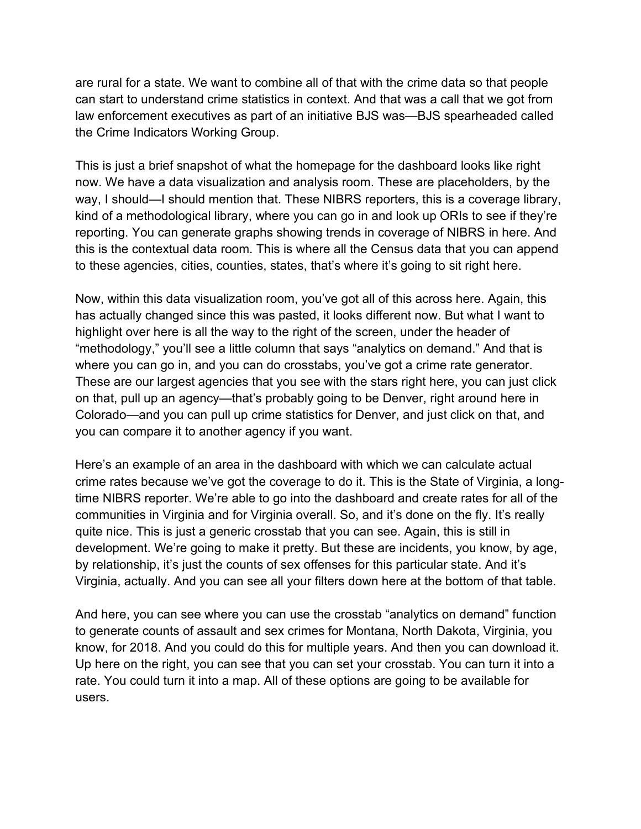are rural for a state. We want to combine all of that with the crime data so that people law enforcement executives as part of an initiative BJS was—BJS spearheaded called the Crime Indicators Working Group. can start to understand crime statistics in context. And that was a call that we got from

to these agencies, cities, counties, states, that's where it's going to sit right here. This is just a brief snapshot of what the homepage for the dashboard looks like right now. We have a data visualization and analysis room. These are placeholders, by the way, I should—I should mention that. These NIBRS reporters, this is a coverage library, kind of a methodological library, where you can go in and look up ORIs to see if they're reporting. You can generate graphs showing trends in coverage of NIBRS in here. And this is the contextual data room. This is where all the Census data that you can append

to these agencies, cities, counties, states, that's where it's going to sit right here.<br>Now, within this data visualization room, you've got all of this across here. Again, this highlight over here is all the way to the right of the screen, under the header of you can compare it to another agency if you want. has actually changed since this was pasted, it looks different now. But what I want to "methodology," you'll see a little column that says "analytics on demand." And that is where you can go in, and you can do crosstabs, you've got a crime rate generator. These are our largest agencies that you see with the stars right here, you can just click on that, pull up an agency—that's probably going to be Denver, right around here in Colorado—and you can pull up crime statistics for Denver, and just click on that, and

 crime rates because we've got the coverage to do it. This is the State of Virginia, a long- time NIBRS reporter. We're able to go into the dashboard and create rates for all of the development. We're going to make it pretty. But these are incidents, you know, by age, Virginia, actually. And you can see all your filters down here at the bottom of that table. Here's an example of an area in the dashboard with which we can calculate actual communities in Virginia and for Virginia overall. So, and it's done on the fly. It's really quite nice. This is just a generic crosstab that you can see. Again, this is still in by relationship, it's just the counts of sex offenses for this particular state. And it's

 know, for 2018. And you could do this for multiple years. And then you can download it. users. And here, you can see where you can use the crosstab "analytics on demand" function to generate counts of assault and sex crimes for Montana, North Dakota, Virginia, you Up here on the right, you can see that you can set your crosstab. You can turn it into a rate. You could turn it into a map. All of these options are going to be available for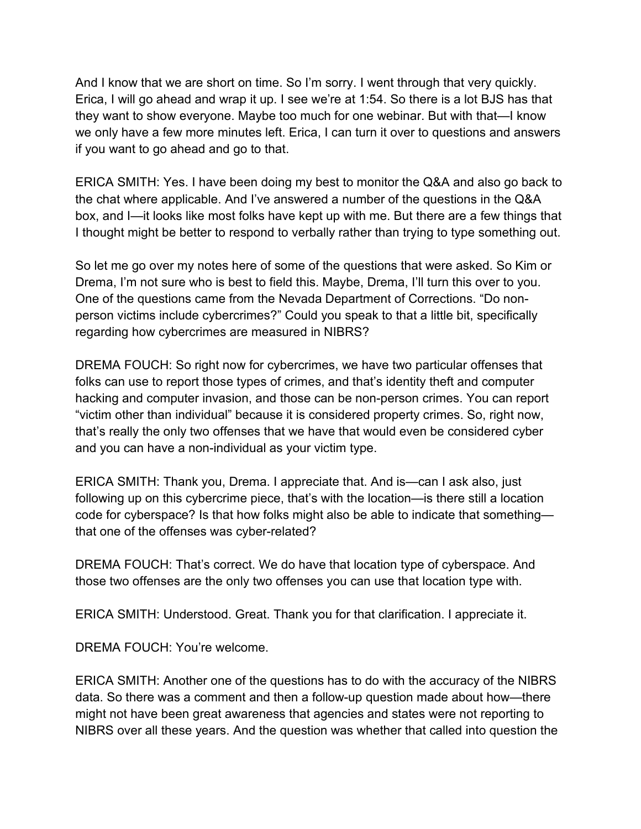And I know that we are short on time. So I'm sorry. I went through that very quickly. Erica, I will go ahead and wrap it up. I see we're at 1:54. So there is a lot BJS has that they want to show everyone. Maybe too much for one webinar. But with that—I know we only have a few more minutes left. Erica, I can turn it over to questions and answers if you want to go ahead and go to that.

I thought might be better to respond to verbally rather than trying to type something out. ERICA SMITH: Yes. I have been doing my best to monitor the Q&A and also go back to the chat where applicable. And I've answered a number of the questions in the Q&A box, and I—it looks like most folks have kept up with me. But there are a few things that

 Drema, I'm not sure who is best to field this. Maybe, Drema, I'll turn this over to you. regarding how cybercrimes are measured in NIBRS? So let me go over my notes here of some of the guestions that were asked. So Kim or One of the questions came from the Nevada Department of Corrections. "Do nonperson victims include cybercrimes?" Could you speak to that a little bit, specifically

 DREMA FOUCH: So right now for cybercrimes, we have two particular offenses that "victim other than individual" because it is considered property crimes. So, right now, and you can have a non-individual as your victim type. folks can use to report those types of crimes, and that's identity theft and computer hacking and computer invasion, and those can be non-person crimes. You can report that's really the only two offenses that we have that would even be considered cyber

 code for cyberspace? Is that how folks might also be able to indicate that something— ERICA SMITH: Thank you, Drema. I appreciate that. And is—can I ask also, just following up on this cybercrime piece, that's with the location—is there still a location that one of the offenses was cyber-related?

DREMA FOUCH: That's correct. We do have that location type of cyberspace. And those two offenses are the only two offenses you can use that location type with.

ERICA SMITH: Understood. Great. Thank you for that clarification. I appreciate it.

DREMA FOUCH: You're welcome.

 might not have been great awareness that agencies and states were not reporting to ERICA SMITH: Another one of the questions has to do with the accuracy of the NIBRS data. So there was a comment and then a follow-up question made about how—there NIBRS over all these years. And the question was whether that called into question the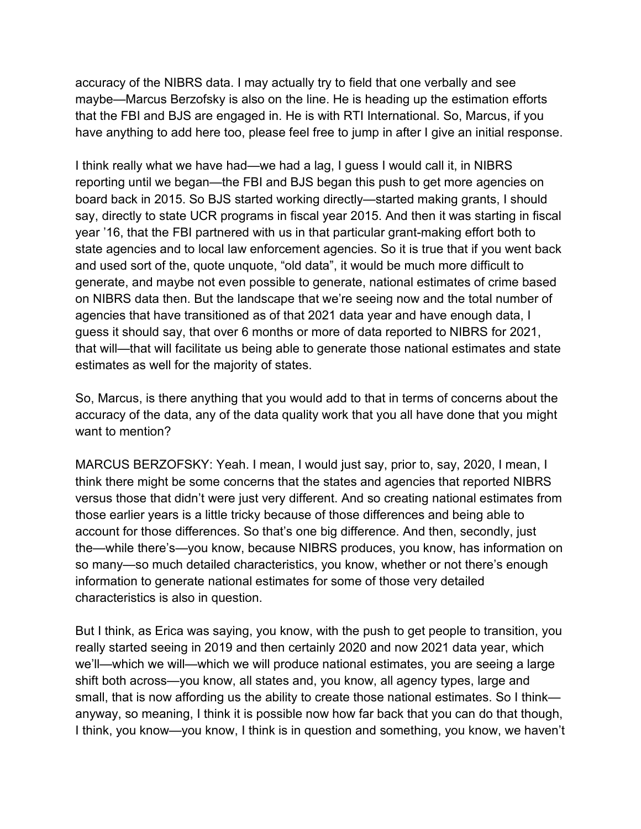that the FBI and BJS are engaged in. He is with RTI International. So, Marcus, if you accuracy of the NIBRS data. I may actually try to field that one verbally and see maybe—Marcus Berzofsky is also on the line. He is heading up the estimation efforts

have anything to add here too, please feel free to jump in after I give an initial response.<br>I think really what we have had—we had a lag, I guess I would call it, in NIBRS reporting until we began—the FBI and BJS began this push to get more agencies on state agencies and to local law enforcement agencies. So it is true that if you went back and used sort of the, quote unquote, "old data", it would be much more difficult to generate, and maybe not even possible to generate, national estimates of crime based agencies that have transitioned as of that 2021 data year and have enough data, I guess it should say, that over 6 months or more of data reported to NIBRS for 2021, that will—that will facilitate us being able to generate those national estimates and state estimates as well for the majority of states. board back in 2015. So BJS started working directly—started making grants, I should say, directly to state UCR programs in fiscal year 2015. And then it was starting in fiscal year '16, that the FBI partnered with us in that particular grant-making effort both to on NIBRS data then. But the landscape that we're seeing now and the total number of

 So, Marcus, is there anything that you would add to that in terms of concerns about the want to mention? accuracy of the data, any of the data quality work that you all have done that you might

 MARCUS BERZOFSKY: Yeah. I mean, I would just say, prior to, say, 2020, I mean, I information to generate national estimates for some of those very detailed characteristics is also in question. think there might be some concerns that the states and agencies that reported NIBRS versus those that didn't were just very different. And so creating national estimates from those earlier years is a little tricky because of those differences and being able to account for those differences. So that's one big difference. And then, secondly, just the—while there's—you know, because NIBRS produces, you know, has information on so many—so much detailed characteristics, you know, whether or not there's enough

 small, that is now affording us the ability to create those national estimates. So I think— anyway, so meaning, I think it is possible now how far back that you can do that though, But I think, as Erica was saying, you know, with the push to get people to transition, you really started seeing in 2019 and then certainly 2020 and now 2021 data year, which we'll—which we will—which we will produce national estimates, you are seeing a large shift both across—you know, all states and, you know, all agency types, large and I think, you know—you know, I think is in question and something, you know, we haven't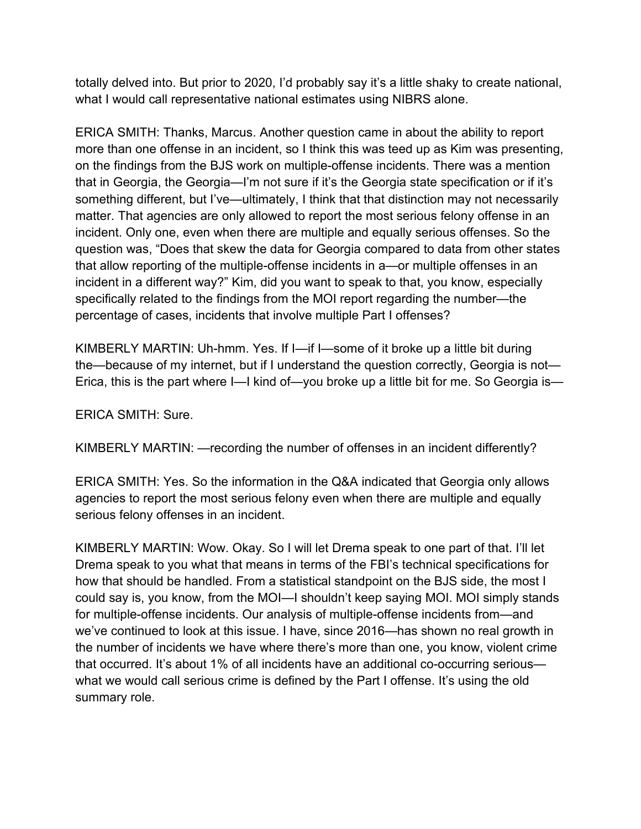what I would call representative national estimates using NIBRS alone. totally delved into. But prior to 2020, I'd probably say it's a little shaky to create national,

 more than one offense in an incident, so I think this was teed up as Kim was presenting, matter. That agencies are only allowed to report the most serious felony offense in an incident in a different way?" Kim, did you want to speak to that, you know, especially ERICA SMITH: Thanks, Marcus. Another question came in about the ability to report on the findings from the BJS work on multiple-offense incidents. There was a mention that in Georgia, the Georgia—I'm not sure if it's the Georgia state specification or if it's something different, but I've—ultimately, I think that that distinction may not necessarily incident. Only one, even when there are multiple and equally serious offenses. So the question was, "Does that skew the data for Georgia compared to data from other states that allow reporting of the multiple-offense incidents in a—or multiple offenses in an specifically related to the findings from the MOI report regarding the number—the percentage of cases, incidents that involve multiple Part I offenses?

 KIMBERLY MARTIN: Uh-hmm. Yes. If I—if I—some of it broke up a little bit during the—because of my internet, but if I understand the question correctly, Georgia is not— Erica, this is the part where I—I kind of—you broke up a little bit for me. So Georgia is—

ERICA SMITH: Sure.

KIMBERLY MARTIN: —recording the number of offenses in an incident differently?

ERICA SMITH: Yes. So the information in the Q&A indicated that Georgia only allows agencies to report the most serious felony even when there are multiple and equally serious felony offenses in an incident.

 KIMBERLY MARTIN: Wow. Okay. So I will let Drema speak to one part of that. I'll let how that should be handled. From a statistical standpoint on the BJS side, the most I we've continued to look at this issue. I have, since 2016—has shown no real growth in what we would call serious crime is defined by the Part I offense. It's using the old summary role. Drema speak to you what that means in terms of the FBI's technical specifications for could say is, you know, from the MOI—I shouldn't keep saying MOI. MOI simply stands for multiple-offense incidents. Our analysis of multiple-offense incidents from—and the number of incidents we have where there's more than one, you know, violent crime that occurred. It's about 1% of all incidents have an additional co-occurring serious—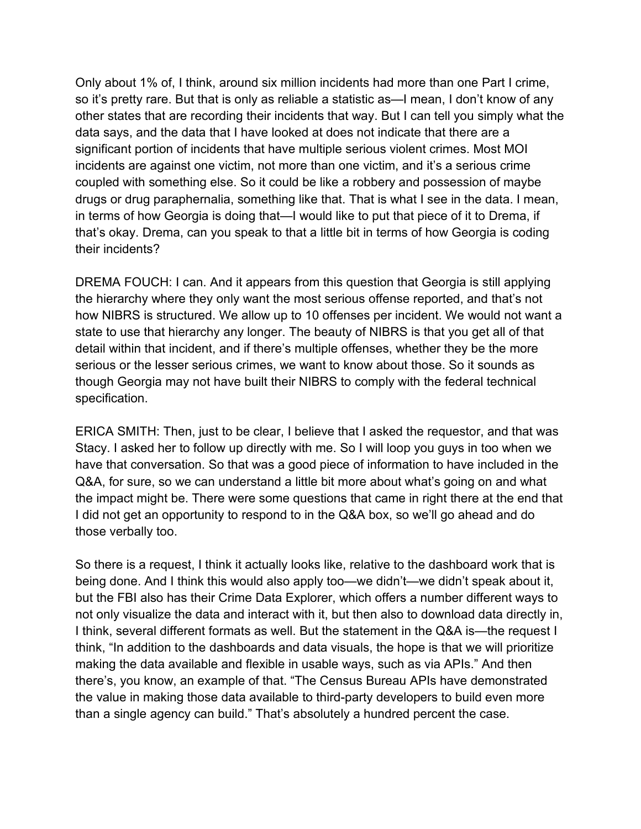Only about 1% of, I think, around six million incidents had more than one Part I crime, so it's pretty rare. But that is only as reliable a statistic as—I mean, I don't know of any data says, and the data that I have looked at does not indicate that there are a other states that are recording their incidents that way. But I can tell you simply what the significant portion of incidents that have multiple serious violent crimes. Most MOI incidents are against one victim, not more than one victim, and it's a serious crime coupled with something else. So it could be like a robbery and possession of maybe drugs or drug paraphernalia, something like that. That is what I see in the data. I mean, in terms of how Georgia is doing that—I would like to put that piece of it to Drema, if that's okay. Drema, can you speak to that a little bit in terms of how Georgia is coding their incidents?

 the hierarchy where they only want the most serious offense reported, and that's not how NIBRS is structured. We allow up to 10 offenses per incident. We would not want a state to use that hierarchy any longer. The beauty of NIBRS is that you get all of that DREMA FOUCH: I can. And it appears from this question that Georgia is still applying detail within that incident, and if there's multiple offenses, whether they be the more serious or the lesser serious crimes, we want to know about those. So it sounds as though Georgia may not have built their NIBRS to comply with the federal technical specification.

 Q&A, for sure, so we can understand a little bit more about what's going on and what those verbally too. ERICA SMITH: Then, just to be clear, I believe that I asked the requestor, and that was Stacy. I asked her to follow up directly with me. So I will loop you guys in too when we have that conversation. So that was a good piece of information to have included in the the impact might be. There were some questions that came in right there at the end that I did not get an opportunity to respond to in the Q&A box, so we'll go ahead and do

 I think, several different formats as well. But the statement in the Q&A is—the request I than a single agency can build." That's absolutely a hundred percent the case. So there is a request, I think it actually looks like, relative to the dashboard work that is being done. And I think this would also apply too—we didn't—we didn't speak about it, but the FBI also has their Crime Data Explorer, which offers a number different ways to not only visualize the data and interact with it, but then also to download data directly in, think, "In addition to the dashboards and data visuals, the hope is that we will prioritize making the data available and flexible in usable ways, such as via APIs." And then there's, you know, an example of that. "The Census Bureau APIs have demonstrated the value in making those data available to third-party developers to build even more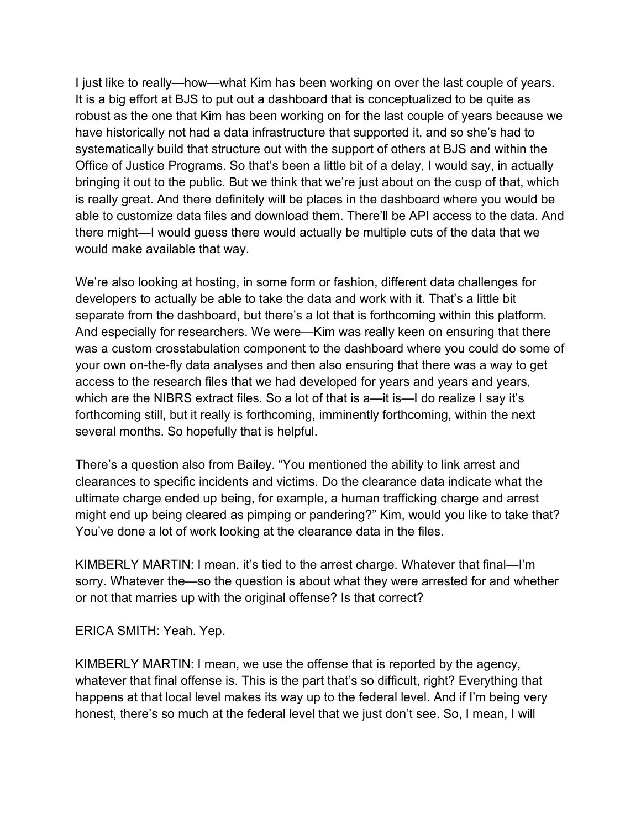It is a big effort at BJS to put out a dashboard that is conceptualized to be quite as systematically build that structure out with the support of others at BJS and within the able to customize data files and download them. There'll be API access to the data. And would make available that way. I just like to really—how—what Kim has been working on over the last couple of years. robust as the one that Kim has been working on for the last couple of years because we have historically not had a data infrastructure that supported it, and so she's had to Office of Justice Programs. So that's been a little bit of a delay, I would say, in actually bringing it out to the public. But we think that we're just about on the cusp of that, which is really great. And there definitely will be places in the dashboard where you would be there might—I would guess there would actually be multiple cuts of the data that we

 developers to actually be able to take the data and work with it. That's a little bit your own on-the-fly data analyses and then also ensuring that there was a way to get which are the NIBRS extract files. So a lot of that is a—it is—I do realize I say it's several months. So hopefully that is helpful. We're also looking at hosting, in some form or fashion, different data challenges for separate from the dashboard, but there's a lot that is forthcoming within this platform. And especially for researchers. We were—Kim was really keen on ensuring that there was a custom crosstabulation component to the dashboard where you could do some of access to the research files that we had developed for years and years and years, forthcoming still, but it really is forthcoming, imminently forthcoming, within the next

 clearances to specific incidents and victims. Do the clearance data indicate what the ultimate charge ended up being, for example, a human trafficking charge and arrest You've done a lot of work looking at the clearance data in the files. There's a question also from Bailey. "You mentioned the ability to link arrest and might end up being cleared as pimping or pandering?" Kim, would you like to take that?

 or not that marries up with the original offense? Is that correct? KIMBERLY MARTIN: I mean, it's tied to the arrest charge. Whatever that final—I'm sorry. Whatever the—so the question is about what they were arrested for and whether

ERICA SMITH: Yeah. Yep.

 whatever that final offense is. This is the part that's so difficult, right? Everything that happens at that local level makes its way up to the federal level. And if I'm being very KIMBERLY MARTIN: I mean, we use the offense that is reported by the agency, honest, there's so much at the federal level that we just don't see. So, I mean, I will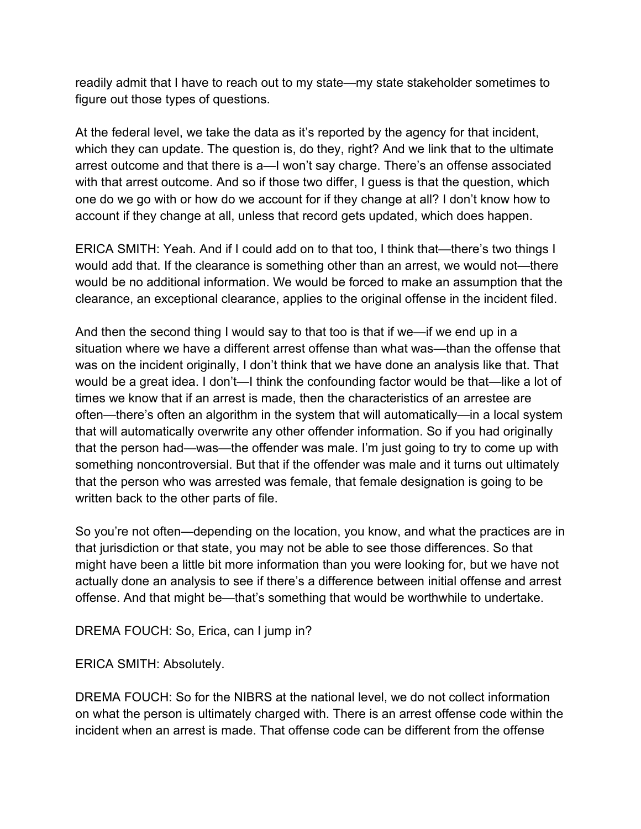figure out those types of questions. readily admit that I have to reach out to my state—my state stakeholder sometimes to

 with that arrest outcome. And so if those two differ, I guess is that the question, which At the federal level, we take the data as it's reported by the agency for that incident, which they can update. The question is, do they, right? And we link that to the ultimate arrest outcome and that there is a—I won't say charge. There's an offense associated one do we go with or how do we account for if they change at all? I don't know how to account if they change at all, unless that record gets updated, which does happen.

ERICA SMITH: Yeah. And if I could add on to that too, I think that—there's two things I would add that. If the clearance is something other than an arrest, we would not—there would be no additional information. We would be forced to make an assumption that the

clearance, an exceptional clearance, applies to the original offense in the incident filed.<br>And then the second thing I would say to that too is that if we—if we end up in a times we know that if an arrest is made, then the characteristics of an arrestee are written back to the other parts of file. situation where we have a different arrest offense than what was—than the offense that was on the incident originally, I don't think that we have done an analysis like that. That would be a great idea. I don't—I think the confounding factor would be that—like a lot of often—there's often an algorithm in the system that will automatically—in a local system that will automatically overwrite any other offender information. So if you had originally that the person had—was—the offender was male. I'm just going to try to come up with something noncontroversial. But that if the offender was male and it turns out ultimately that the person who was arrested was female, that female designation is going to be

So you're not often—depending on the location, you know, and what the practices are in that jurisdiction or that state, you may not be able to see those differences. So that might have been a little bit more information than you were looking for, but we have not actually done an analysis to see if there's a difference between initial offense and arrest offense. And that might be—that's something that would be worthwhile to undertake.

DREMA FOUCH: So, Erica, can I jump in?

ERICA SMITH: Absolutely.

DREMA FOUCH: So for the NIBRS at the national level, we do not collect information on what the person is ultimately charged with. There is an arrest offense code within the incident when an arrest is made. That offense code can be different from the offense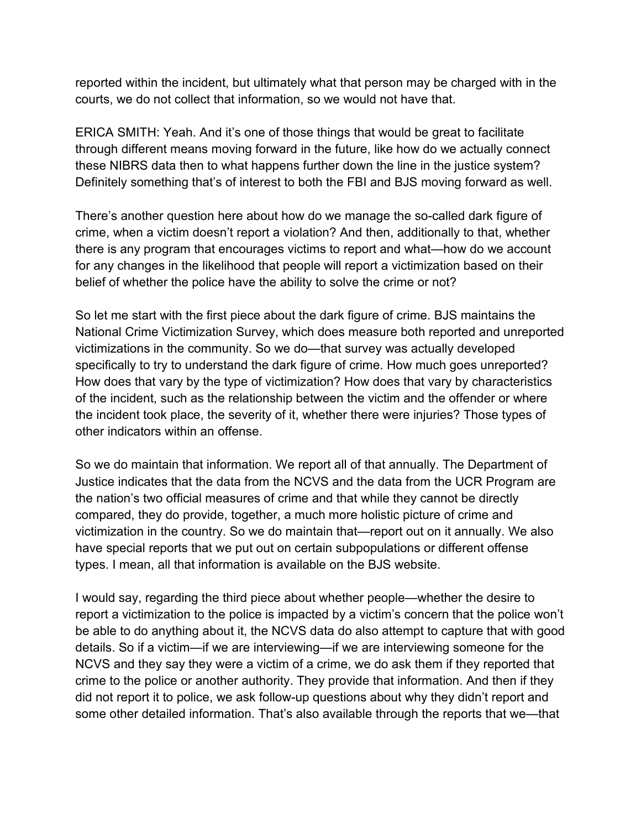reported within the incident, but ultimately what that person may be charged with in the courts, we do not collect that information, so we would not have that.

Definitely something that's of interest to both the FBI and BJS moving forward as well. ERICA SMITH: Yeah. And it's one of those things that would be great to facilitate through different means moving forward in the future, like how do we actually connect these NIBRS data then to what happens further down the line in the justice system?

 there is any program that encourages victims to report and what—how do we account belief of whether the police have the ability to solve the crime or not? There's another question here about how do we manage the so-called dark figure of crime, when a victim doesn't report a violation? And then, additionally to that, whether for any changes in the likelihood that people will report a victimization based on their

 How does that vary by the type of victimization? How does that vary by characteristics other indicators within an offense. So let me start with the first piece about the dark figure of crime. BJS maintains the National Crime Victimization Survey, which does measure both reported and unreported victimizations in the community. So we do—that survey was actually developed specifically to try to understand the dark figure of crime. How much goes unreported? of the incident, such as the relationship between the victim and the offender or where the incident took place, the severity of it, whether there were injuries? Those types of

 have special reports that we put out on certain subpopulations or different offense types. I mean, all that information is available on the BJS website. So we do maintain that information. We report all of that annually. The Department of Justice indicates that the data from the NCVS and the data from the UCR Program are the nation's two official measures of crime and that while they cannot be directly compared, they do provide, together, a much more holistic picture of crime and victimization in the country. So we do maintain that—report out on it annually. We also

 NCVS and they say they were a victim of a crime, we do ask them if they reported that did not report it to police, we ask follow-up questions about why they didn't report and I would say, regarding the third piece about whether people—whether the desire to report a victimization to the police is impacted by a victim's concern that the police won't be able to do anything about it, the NCVS data do also attempt to capture that with good details. So if a victim—if we are interviewing—if we are interviewing someone for the crime to the police or another authority. They provide that information. And then if they some other detailed information. That's also available through the reports that we—that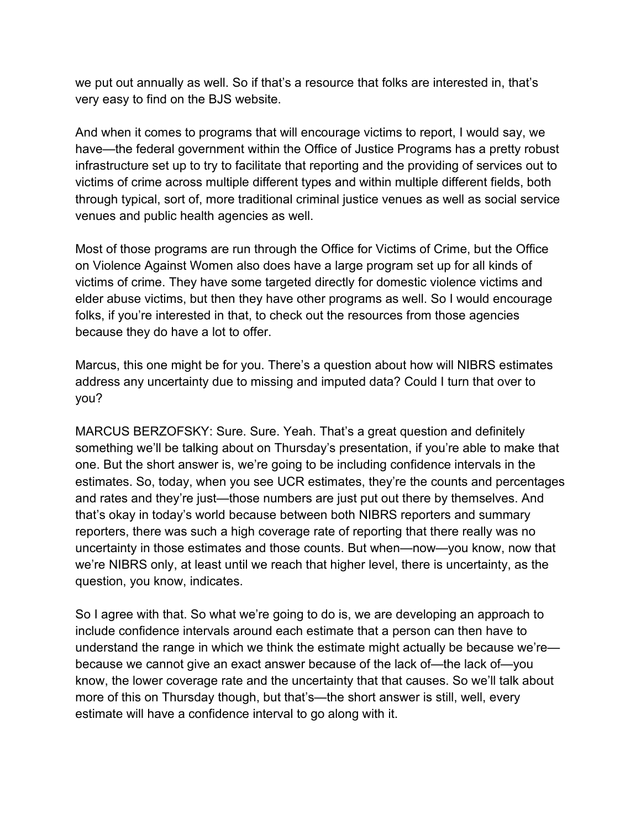very easy to find on the BJS website. we put out annually as well. So if that's a resource that folks are interested in, that's

 through typical, sort of, more traditional criminal justice venues as well as social service venues and public health agencies as well. And when it comes to programs that will encourage victims to report, I would say, we have—the federal government within the Office of Justice Programs has a pretty robust infrastructure set up to try to facilitate that reporting and the providing of services out to victims of crime across multiple different types and within multiple different fields, both

 on Violence Against Women also does have a large program set up for all kinds of elder abuse victims, but then they have other programs as well. So I would encourage because they do have a lot to offer. Most of those programs are run through the Office for Victims of Crime, but the Office victims of crime. They have some targeted directly for domestic violence victims and folks, if you're interested in that, to check out the resources from those agencies

 address any uncertainty due to missing and imputed data? Could I turn that over to Marcus, this one might be for you. There's a question about how will NIBRS estimates you?

 MARCUS BERZOFSKY: Sure. Sure. Yeah. That's a great question and definitely we're NIBRS only, at least until we reach that higher level, there is uncertainty, as the question, you know, indicates. something we'll be talking about on Thursday's presentation, if you're able to make that one. But the short answer is, we're going to be including confidence intervals in the estimates. So, today, when you see UCR estimates, they're the counts and percentages and rates and they're just—those numbers are just put out there by themselves. And that's okay in today's world because between both NIBRS reporters and summary reporters, there was such a high coverage rate of reporting that there really was no uncertainty in those estimates and those counts. But when—now—you know, now that

 So I agree with that. So what we're going to do is, we are developing an approach to know, the lower coverage rate and the uncertainty that that causes. So we'll talk about more of this on Thursday though, but that's—the short answer is still, well, every estimate will have a confidence interval to go along with it. include confidence intervals around each estimate that a person can then have to understand the range in which we think the estimate might actually be because we're because we cannot give an exact answer because of the lack of—the lack of—you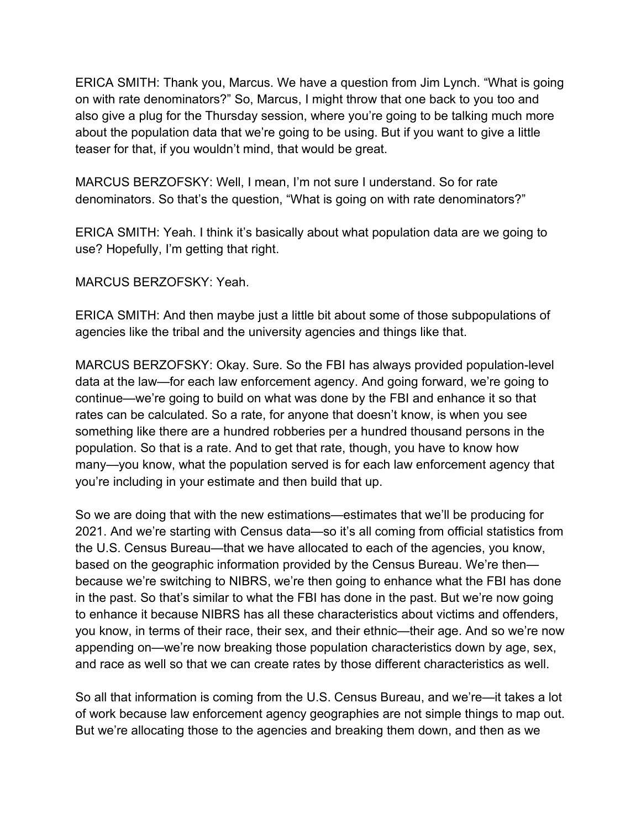ERICA SMITH: Thank you, Marcus. We have a question from Jim Lynch. "What is going on with rate denominators?" So, Marcus, I might throw that one back to you too and also give a plug for the Thursday session, where you're going to be talking much more about the population data that we're going to be using. But if you want to give a little teaser for that, if you wouldn't mind, that would be great.

 MARCUS BERZOFSKY: Well, I mean, I'm not sure I understand. So for rate denominators. So that's the question, "What is going on with rate denominators?"

ERICA SMITH: Yeah. I think it's basically about what population data are we going to use? Hopefully, I'm getting that right.

MARCUS BERZOFSKY: Yeah.

ERICA SMITH: And then maybe just a little bit about some of those subpopulations of agencies like the tribal and the university agencies and things like that.

 MARCUS BERZOFSKY: Okay. Sure. So the FBI has always provided population-level you're including in your estimate and then build that up. data at the law—for each law enforcement agency. And going forward, we're going to continue—we're going to build on what was done by the FBI and enhance it so that rates can be calculated. So a rate, for anyone that doesn't know, is when you see something like there are a hundred robberies per a hundred thousand persons in the population. So that is a rate. And to get that rate, though, you have to know how many—you know, what the population served is for each law enforcement agency that

 in the past. So that's similar to what the FBI has done in the past. But we're now going you know, in terms of their race, their sex, and their ethnic—their age. And so we're now and race as well so that we can create rates by those different characteristics as well. So we are doing that with the new estimations—estimates that we'll be producing for 2021. And we're starting with Census data—so it's all coming from official statistics from the U.S. Census Bureau—that we have allocated to each of the agencies, you know, based on the geographic information provided by the Census Bureau. We're then because we're switching to NIBRS, we're then going to enhance what the FBI has done to enhance it because NIBRS has all these characteristics about victims and offenders, appending on—we're now breaking those population characteristics down by age, sex,

and race as well so that we can create rates by those different characteristics as well.<br>So all that information is coming from the U.S. Census Bureau, and we're—it takes a lot of work because law enforcement agency geographies are not simple things to map out. But we're allocating those to the agencies and breaking them down, and then as we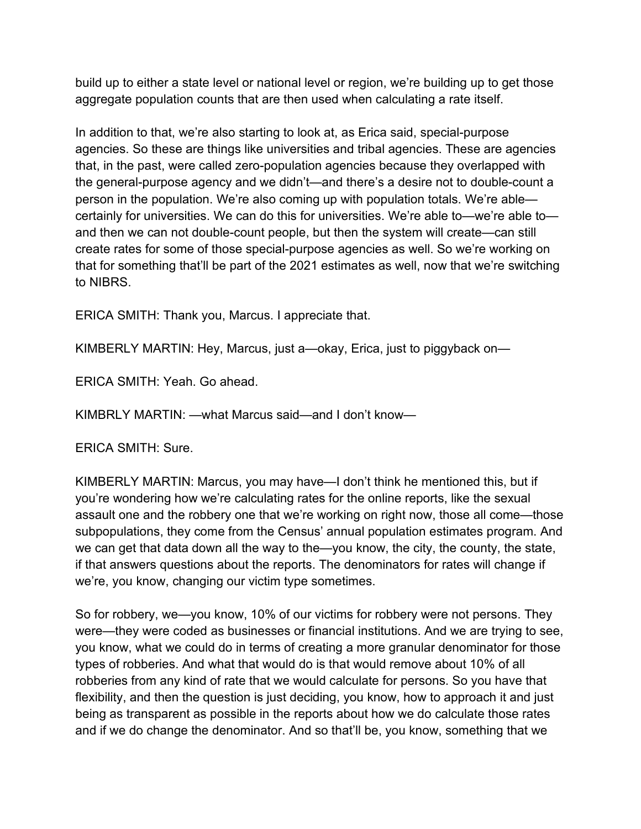aggregate population counts that are then used when calculating a rate itself. build up to either a state level or national level or region, we're building up to get those

In addition to that, we're also starting to look at, as Erica said, special-purpose agencies. So these are things like universities and tribal agencies. These are agencies that, in the past, were called zero-population agencies because they overlapped with the general-purpose agency and we didn't—and there's a desire not to double-count a person in the population. We're also coming up with population totals. We're able certainly for universities. We can do this for universities. We're able to—we're able to and then we can not double-count people, but then the system will create—can still create rates for some of those special-purpose agencies as well. So we're working on that for something that'll be part of the 2021 estimates as well, now that we're switching to NIBRS.

ERICA SMITH: Thank you, Marcus. I appreciate that.

KIMBERLY MARTIN: Hey, Marcus, just a—okay, Erica, just to piggyback on—

ERICA SMITH: Yeah. Go ahead.

KIMBRLY MARTIN: —what Marcus said—and I don't know—

ERICA SMITH: Sure.

 assault one and the robbery one that we're working on right now, those all come—those we're, you know, changing our victim type sometimes. KIMBERLY MARTIN: Marcus, you may have—I don't think he mentioned this, but if you're wondering how we're calculating rates for the online reports, like the sexual subpopulations, they come from the Census' annual population estimates program. And we can get that data down all the way to the—you know, the city, the county, the state, if that answers questions about the reports. The denominators for rates will change if

 you know, what we could do in terms of creating a more granular denominator for those types of robberies. And what that would do is that would remove about 10% of all robberies from any kind of rate that we would calculate for persons. So you have that So for robbery, we—you know, 10% of our victims for robbery were not persons. They were—they were coded as businesses or financial institutions. And we are trying to see, flexibility, and then the question is just deciding, you know, how to approach it and just being as transparent as possible in the reports about how we do calculate those rates and if we do change the denominator. And so that'll be, you know, something that we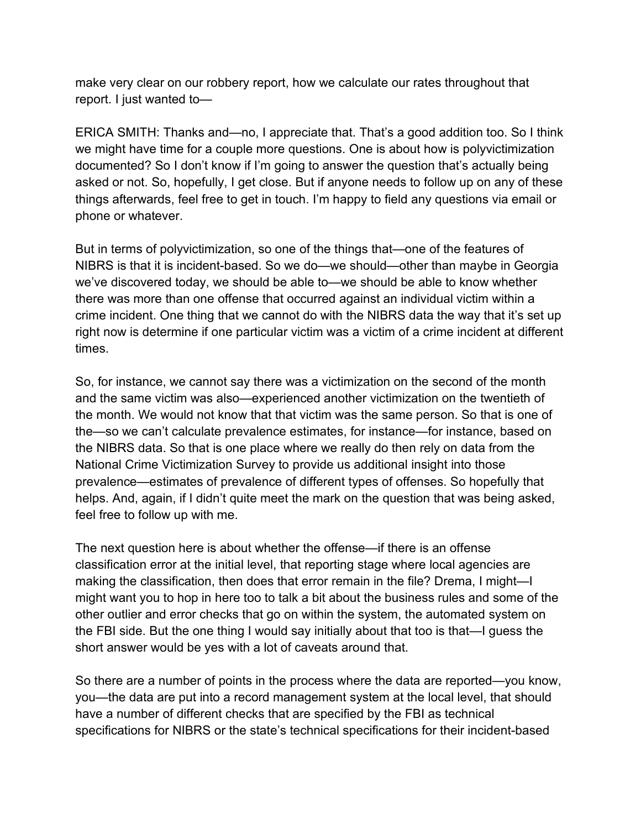make very clear on our robbery report, how we calculate our rates throughout that report. I just wanted to—

 asked or not. So, hopefully, I get close. But if anyone needs to follow up on any of these phone or whatever. ERICA SMITH: Thanks and—no, I appreciate that. That's a good addition too. So I think we might have time for a couple more questions. One is about how is polyvictimization documented? So I don't know if I'm going to answer the question that's actually being things afterwards, feel free to get in touch. I'm happy to field any questions via email or

phone or whatever.<br>But in terms of polyvictimization, so one of the things that—one of the features of times. NIBRS is that it is incident-based. So we do—we should—other than maybe in Georgia we've discovered today, we should be able to—we should be able to know whether there was more than one offense that occurred against an individual victim within a crime incident. One thing that we cannot do with the NIBRS data the way that it's set up right now is determine if one particular victim was a victim of a crime incident at different

times.<br>So, for instance, we cannot say there was a victimization on the second of the month prevalence—estimates of prevalence of different types of offenses. So hopefully that feel free to follow up with me. and the same victim was also—experienced another victimization on the twentieth of the month. We would not know that that victim was the same person. So that is one of the—so we can't calculate prevalence estimates, for instance—for instance, based on the NIBRS data. So that is one place where we really do then rely on data from the National Crime Victimization Survey to provide us additional insight into those helps. And, again, if I didn't quite meet the mark on the question that was being asked,

short answer would be yes with a lot of caveats around that. The next question here is about whether the offense—if there is an offense classification error at the initial level, that reporting stage where local agencies are making the classification, then does that error remain in the file? Drema, I might—I might want you to hop in here too to talk a bit about the business rules and some of the other outlier and error checks that go on within the system, the automated system on the FBI side. But the one thing I would say initially about that too is that—I guess the

 you—the data are put into a record management system at the local level, that should So there are a number of points in the process where the data are reported—you know, have a number of different checks that are specified by the FBI as technical specifications for NIBRS or the state's technical specifications for their incident-based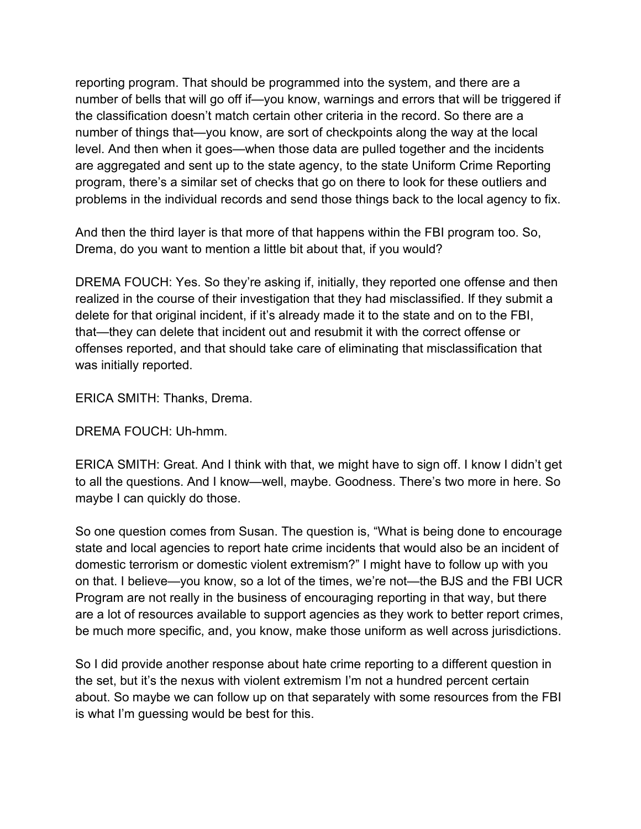number of things that—you know, are sort of checkpoints along the way at the local program, there's a similar set of checks that go on there to look for these outliers and reporting program. That should be programmed into the system, and there are a number of bells that will go off if—you know, warnings and errors that will be triggered if the classification doesn't match certain other criteria in the record. So there are a level. And then when it goes—when those data are pulled together and the incidents are aggregated and sent up to the state agency, to the state Uniform Crime Reporting

problems in the individual records and send those things back to the local agency to fix.<br>And then the third layer is that more of that happens within the FBI program too. So, And then the third layer is that more of that happens within the FBI program too. So, Drema, do you want to mention a little bit about that, if you would?

 delete for that original incident, if it's already made it to the state and on to the FBI, DREMA FOUCH: Yes. So they're asking if, initially, they reported one offense and then realized in the course of their investigation that they had misclassified. If they submit a that—they can delete that incident out and resubmit it with the correct offense or offenses reported, and that should take care of eliminating that misclassification that was initially reported.

ERICA SMITH: Thanks, Drema.

DREMA FOUCH: Uh-hmm.

 to all the questions. And I know—well, maybe. Goodness. There's two more in here. So maybe I can quickly do those. ERICA SMITH: Great. And I think with that, we might have to sign off. I know I didn't get

 Program are not really in the business of encouraging reporting in that way, but there So one question comes from Susan. The question is, "What is being done to encourage state and local agencies to report hate crime incidents that would also be an incident of domestic terrorism or domestic violent extremism?" I might have to follow up with you on that. I believe—you know, so a lot of the times, we're not—the BJS and the FBI UCR are a lot of resources available to support agencies as they work to better report crimes,

be much more specific, and, you know, make those uniform as well across jurisdictions.<br>So I did provide another response about hate crime reporting to a different question in is what I'm guessing would be best for this. the set, but it's the nexus with violent extremism I'm not a hundred percent certain about. So maybe we can follow up on that separately with some resources from the FBI